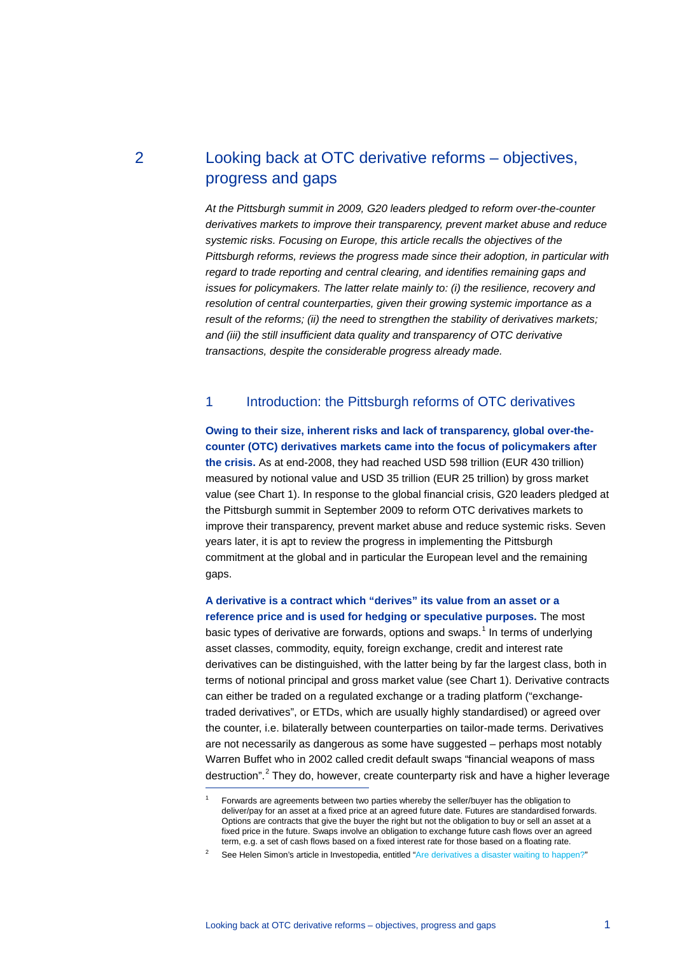2 Looking back at OTC derivative reforms – objectives, progress and gaps

> *At the Pittsburgh summit in 2009, G20 leaders pledged to reform over-the-counter derivatives markets to improve their transparency, prevent market abuse and reduce systemic risks. Focusing on Europe, this article recalls the objectives of the Pittsburgh reforms, reviews the progress made since their adoption, in particular with regard to trade reporting and central clearing, and identifies remaining gaps and issues for policymakers. The latter relate mainly to: (i) the resilience, recovery and resolution of central counterparties, given their growing systemic importance as a result of the reforms; (ii) the need to strengthen the stability of derivatives markets; and (iii) the still insufficient data quality and transparency of OTC derivative transactions, despite the considerable progress already made.*

# 1 Introduction: the Pittsburgh reforms of OTC derivatives

**Owing to their size, inherent risks and lack of transparency, global over-thecounter (OTC) derivatives markets came into the focus of policymakers after the crisis.** As at end-2008, they had reached USD 598 trillion (EUR 430 trillion) measured by notional value and USD 35 trillion (EUR 25 trillion) by gross market value (see Chart 1). In response to the global financial crisis, G20 leaders pledged at the Pittsburgh summit in September 2009 to reform OTC derivatives markets to improve their transparency, prevent market abuse and reduce systemic risks. Seven years later, it is apt to review the progress in implementing the Pittsburgh commitment at the global and in particular the European level and the remaining gaps.

**A derivative is a contract which "derives" its value from an asset or a reference price and is used for hedging or speculative purposes.** The most basic types of derivative are forwards, options and swaps.<sup>[1](#page-0-0)</sup> In terms of underlying asset classes, commodity, equity, foreign exchange, credit and interest rate derivatives can be distinguished, with the latter being by far the largest class, both in terms of notional principal and gross market value (see Chart 1). Derivative contracts can either be traded on a regulated exchange or a trading platform ("exchangetraded derivatives", or ETDs, which are usually highly standardised) or agreed over the counter, i.e. bilaterally between counterparties on tailor-made terms. Derivatives are not necessarily as dangerous as some have suggested – perhaps most notably Warren Buffet who in 2002 called credit default swaps "financial weapons of mass destruction".<sup>[2](#page-0-1)</sup> They do, however, create counterparty risk and have a higher leverage

<span id="page-0-0"></span><sup>1</sup> Forwards are agreements between two parties whereby the seller/buyer has the obligation to deliver/pay for an asset at a fixed price at an agreed future date. Futures are standardised forwards. Options are contracts that give the buyer the right but not the obligation to buy or sell an asset at a fixed price in the future. Swaps involve an obligation to exchange future cash flows over an agreed term, e.g. a set of cash flows based on a fixed interest rate for those based on a floating rate.

<span id="page-0-1"></span><sup>2</sup> See Helen Simon's article in Investopedia, entitled ["Are derivatives a disaster waiting to happen?"](http://www.investopedia.com/articles/optioninvestor/08/derivative-risks.asp)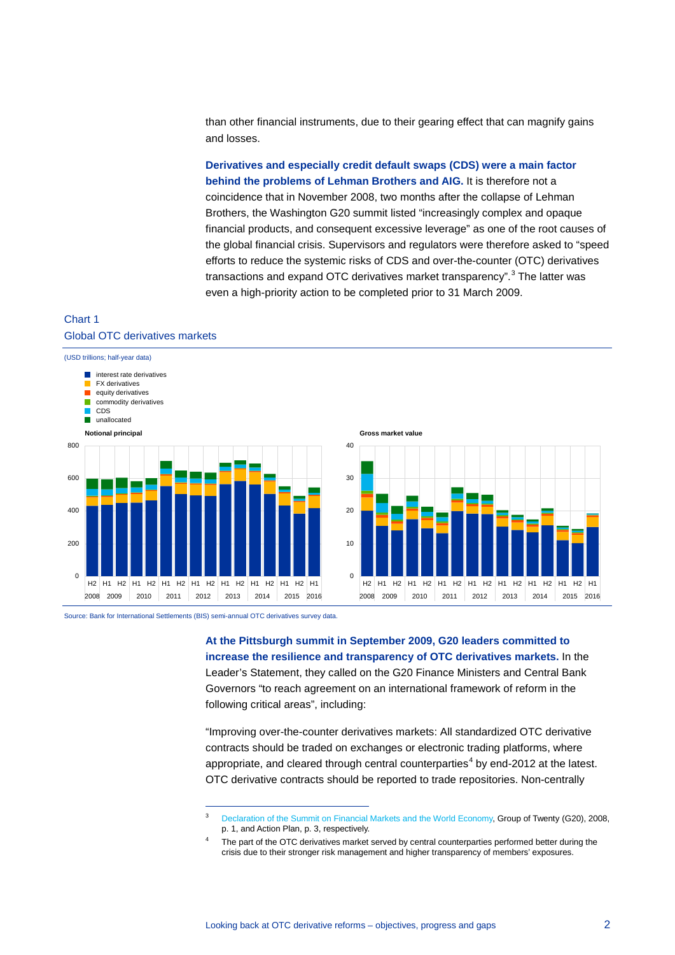than other financial instruments, due to their gearing effect that can magnify gains and losses.

**Derivatives and especially credit default swaps (CDS) were a main factor behind the problems of Lehman Brothers and AIG.** It is therefore not a coincidence that in November 2008, two months after the collapse of Lehman Brothers, the Washington G20 summit listed "increasingly complex and opaque financial products, and consequent excessive leverage" as one of the root causes of the global financial crisis. Supervisors and regulators were therefore asked to "speed efforts to reduce the systemic risks of CDS and over-the-counter (OTC) derivatives transactions and expand OTC derivatives market transparency".<sup>[3](#page-1-0)</sup> The latter was even a high-priority action to be completed prior to 31 March 2009.

## Chart 1 Global OTC derivatives markets





-

**At the Pittsburgh summit in September 2009, G20 leaders committed to increase the resilience and transparency of OTC derivatives markets.** In the Leader's Statement, they called on the G20 Finance Ministers and Central Bank Governors "to reach agreement on an international framework of reform in the following critical areas", including:

H2 H1 H2 H1 H2 H1 H2 H1 H2 H1 H2 H1 H2 H1 H2 H1 2008 2009 2010 2011 2012 2013 2014 2015 2016

 $\overline{0}$ 

10

20

30

40

**Gross market value**

"Improving over-the-counter derivatives markets: All standardized OTC derivative contracts should be traded on exchanges or electronic trading platforms, where appropriate, and cleared through central counterparties<sup>[4](#page-1-1)</sup> by end-2012 at the latest. OTC derivative contracts should be reported to trade repositories. Non-centrally

<span id="page-1-0"></span><sup>3</sup> [Declaration of the Summit on Financial Markets and the World Economy,](http://www.fsb.org/wp-content/uploads/pr_151108.pdf) Group of Twenty (G20), 2008, p. 1, and Action Plan, p. 3, respectively.

<span id="page-1-1"></span><sup>4</sup> The part of the OTC derivatives market served by central counterparties performed better during the crisis due to their stronger risk management and higher transparency of members' exposures.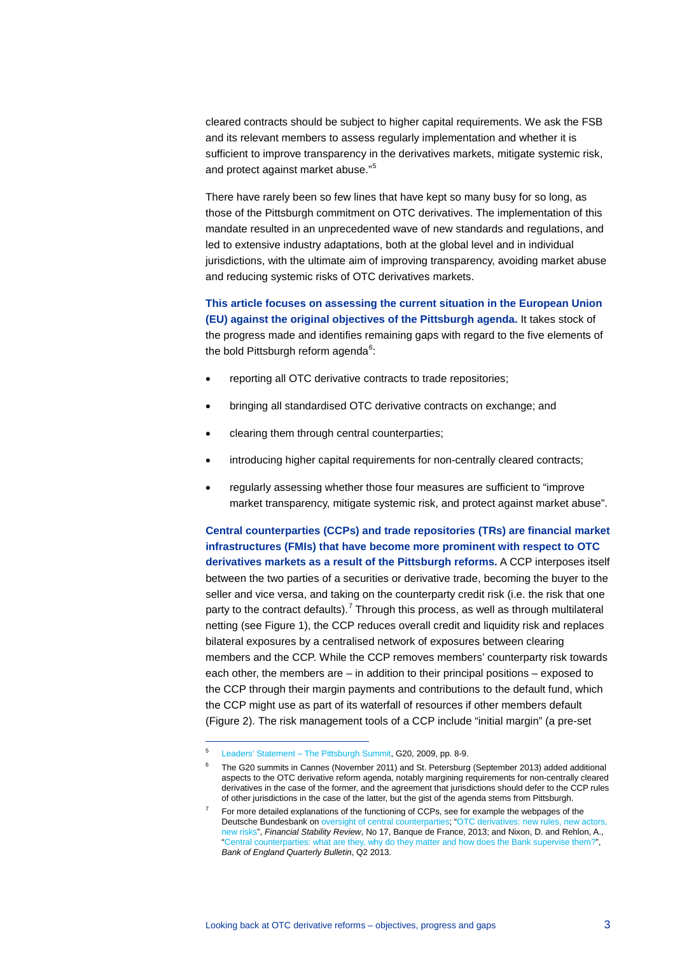cleared contracts should be subject to higher capital requirements. We ask the FSB and its relevant members to assess regularly implementation and whether it is sufficient to improve transparency in the derivatives markets, mitigate systemic risk, and protect against market abuse." [5](#page-2-0)

There have rarely been so few lines that have kept so many busy for so long, as those of the Pittsburgh commitment on OTC derivatives. The implementation of this mandate resulted in an unprecedented wave of new standards and regulations, and led to extensive industry adaptations, both at the global level and in individual jurisdictions, with the ultimate aim of improving transparency, avoiding market abuse and reducing systemic risks of OTC derivatives markets.

**This article focuses on assessing the current situation in the European Union (EU) against the original objectives of the Pittsburgh agenda.** It takes stock of the progress made and identifies remaining gaps with regard to the five elements of the bold Pittsburgh reform agenda<sup>[6](#page-2-1)</sup>:

- reporting all OTC derivative contracts to trade repositories;
- bringing all standardised OTC derivative contracts on exchange; and
- clearing them through central counterparties;
- introducing higher capital requirements for non-centrally cleared contracts;
- regularly assessing whether those four measures are sufficient to "improve market transparency, mitigate systemic risk, and protect against market abuse".

**Central counterparties (CCPs) and trade repositories (TRs) are financial market infrastructures (FMIs) that have become more prominent with respect to OTC derivatives markets as a result of the Pittsburgh reforms.** A CCP interposes itself between the two parties of a securities or derivative trade, becoming the buyer to the seller and vice versa, and taking on the counterparty credit risk (i.e. the risk that one party to the contract defaults).<sup>[7](#page-2-2)</sup> Through this process, as well as through multilateral netting (see Figure 1), the CCP reduces overall credit and liquidity risk and replaces bilateral exposures by a centralised network of exposures between clearing members and the CCP. While the CCP removes members' counterparty risk towards each other, the members are – in addition to their principal positions – exposed to the CCP through their margin payments and contributions to the default fund, which the CCP might use as part of its waterfall of resources if other members default (Figure 2). The risk management tools of a CCP include "initial margin" (a pre-set

<span id="page-2-1"></span><span id="page-2-0"></span><sup>5</sup> [Leaders' Statement – The Pittsburgh Summit,](http://www.fsb.org/wp-content/uploads/g20_leaders_declaration_pittsburgh_2009.pdf) G20, 2009, pp. 8-9.

<sup>6</sup> The G20 summits in Cannes (November 2011) and St. Petersburg (September 2013) added additional aspects to the OTC derivative reform agenda, notably margining requirements for non-centrally cleared derivatives in the case of the former, and the agreement that jurisdictions should defer to the CCP rules of other jurisdictions in the case of the latter, but the gist of the agenda stems from Pittsburgh.

<span id="page-2-2"></span><sup>7</sup> For more detailed explanations of the functioning of CCPs, see for example the webpages of the Deutsche Bundesbank o[n oversight of central counterparties;](https://www.bundesbank.de/Redaktion/EN/Dossier/Tasks/oversight.html?notFirst=true&docId=328228) ["OTC derivatives: new rules, new actors,](https://www.banque-france.fr/fileadmin/user_upload/banque_de_france/publications/Revue_de_la_stabilite_financiere/2013/rsf-avril-2013/FSR17_integral.pdf)  [new risks"](https://www.banque-france.fr/fileadmin/user_upload/banque_de_france/publications/Revue_de_la_stabilite_financiere/2013/rsf-avril-2013/FSR17_integral.pdf), *Financial Stability Review*, No 17, Banque de France, 2013; and Nixon, D. and Rehlon, A., ["Central counterparties: what are they, why do they matter and how does the Bank supervise them?"](http://www.bankofengland.co.uk/publications/Documents/quarterlybulletin/2013/qb130206.pdf), *Bank of England Quarterly Bulletin*, Q2 2013.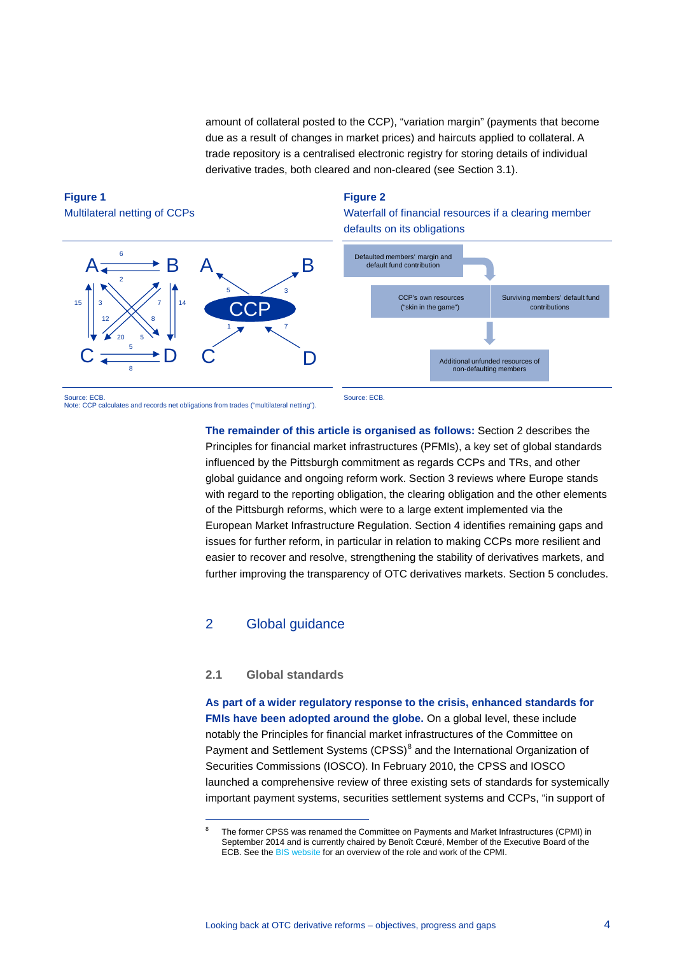amount of collateral posted to the CCP), "variation margin" (payments that become due as a result of changes in market prices) and haircuts applied to collateral. A trade repository is a centralised electronic registry for storing details of individual derivative trades, both cleared and non-cleared (see Section 3.1).

# **Figure 1**  Multilateral netting of CCPs

### **Figure 2**

Waterfall of financial resources if a clearing member defaults on its obligations



Note: CCP calculates and records net obligations from trades ("multilateral netting").

**The remainder of this article is organised as follows:** Section 2 describes the Principles for financial market infrastructures (PFMIs), a key set of global standards influenced by the Pittsburgh commitment as regards CCPs and TRs, and other global guidance and ongoing reform work. Section 3 reviews where Europe stands with regard to the reporting obligation, the clearing obligation and the other elements of the Pittsburgh reforms, which were to a large extent implemented via the European Market Infrastructure Regulation. Section 4 identifies remaining gaps and issues for further reform, in particular in relation to making CCPs more resilient and easier to recover and resolve, strengthening the stability of derivatives markets, and further improving the transparency of OTC derivatives markets. Section 5 concludes.

# 2 Global guidance

### **2.1 Global standards**

-

**As part of a wider regulatory response to the crisis, enhanced standards for FMIs have been adopted around the globe.** On a global level, these include notably the Principles for financial market infrastructures of the Committee on Payment and Settlement Systems (CPSS)<sup>[8](#page-3-0)</sup> and the International Organization of Securities Commissions (IOSCO). In February 2010, the CPSS and IOSCO launched a comprehensive review of three existing sets of standards for systemically important payment systems, securities settlement systems and CCPs, "in support of

<span id="page-3-0"></span><sup>8</sup> The former CPSS was renamed the Committee on Payments and Market Infrastructures (CPMI) in September 2014 and is currently chaired by Benoît Cœuré, Member of the Executive Board of the ECB. See the BIS [website](https://www.bis.org/cpmi/) for an overview of the role and work of the CPMI.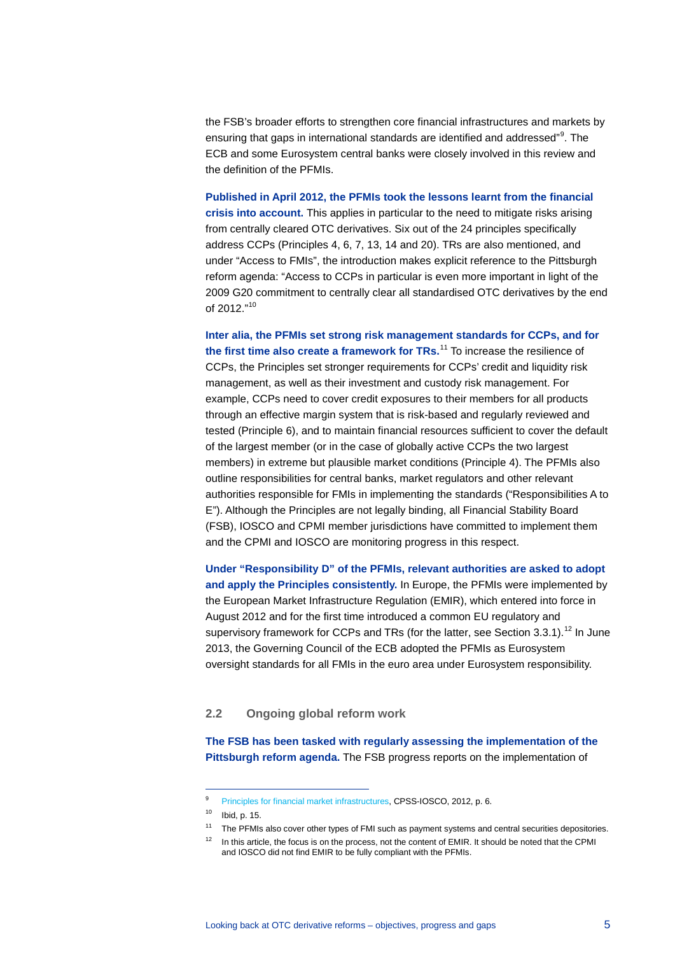the FSB's broader efforts to strengthen core financial infrastructures and markets by ensuring that gaps in international standards are identified and addressed" [9](#page-4-0) . The ECB and some Eurosystem central banks were closely involved in this review and the definition of the PFMIs.

**Published in April 2012, the PFMIs took the lessons learnt from the financial crisis into account.** This applies in particular to the need to mitigate risks arising from centrally cleared OTC derivatives. Six out of the 24 principles specifically address CCPs (Principles 4, 6, 7, 13, 14 and 20). TRs are also mentioned, and under "Access to FMIs", the introduction makes explicit reference to the Pittsburgh reform agenda: "Access to CCPs in particular is even more important in light of the 2009 G20 commitment to centrally clear all standardised OTC derivatives by the end of 2012."<sup>[10](#page-4-1)</sup>

**Inter alia, the PFMIs set strong risk management standards for CCPs, and for the first time also create a framework for TRs.** [11](#page-4-2) To increase the resilience of CCPs, the Principles set stronger requirements for CCPs' credit and liquidity risk management, as well as their investment and custody risk management. For example, CCPs need to cover credit exposures to their members for all products through an effective margin system that is risk-based and regularly reviewed and tested (Principle 6), and to maintain financial resources sufficient to cover the default of the largest member (or in the case of globally active CCPs the two largest members) in extreme but plausible market conditions (Principle 4). The PFMIs also outline responsibilities for central banks, market regulators and other relevant authorities responsible for FMIs in implementing the standards ("Responsibilities A to E"). Although the Principles are not legally binding, all Financial Stability Board (FSB), IOSCO and CPMI member jurisdictions have committed to implement them and the CPMI and IOSCO are monitoring progress in this respect.

**Under "Responsibility D" of the PFMIs, relevant authorities are asked to adopt and apply the Principles consistently.** In Europe, the PFMIs were implemented by the European Market Infrastructure Regulation (EMIR), which entered into force in August 2012 and for the first time introduced a common EU regulatory and supervisory framework for CCPs and TRs (for the latter, see Section  $3.3.1$ ).<sup>[12](#page-4-3)</sup> In June 2013, the Governing Council of the ECB adopted the PFMIs as Eurosystem oversight standards for all FMIs in the euro area under Eurosystem responsibility.

### **2.2 Ongoing global reform work**

**The FSB has been tasked with regularly assessing the implementation of the Pittsburgh reform agenda.** The FSB progress reports on the implementation of

<span id="page-4-0"></span><sup>&</sup>lt;sup>9</sup> [Principles for financial market infrastructures,](http://www.bis.org/cpmi/publ/d101a.pdf) CPSS-IOSCO, 2012, p. 6.

<sup>10</sup> Ibid, p. 15.

<sup>&</sup>lt;sup>11</sup> The PFMIs also cover other types of FMI such as payment systems and central securities depositories.

<span id="page-4-3"></span><span id="page-4-2"></span><span id="page-4-1"></span><sup>&</sup>lt;sup>12</sup> In this article, the focus is on the process, not the content of EMIR. It should be noted that the CPMI and IOSCO did not find EMIR to be fully compliant with the PFMIs.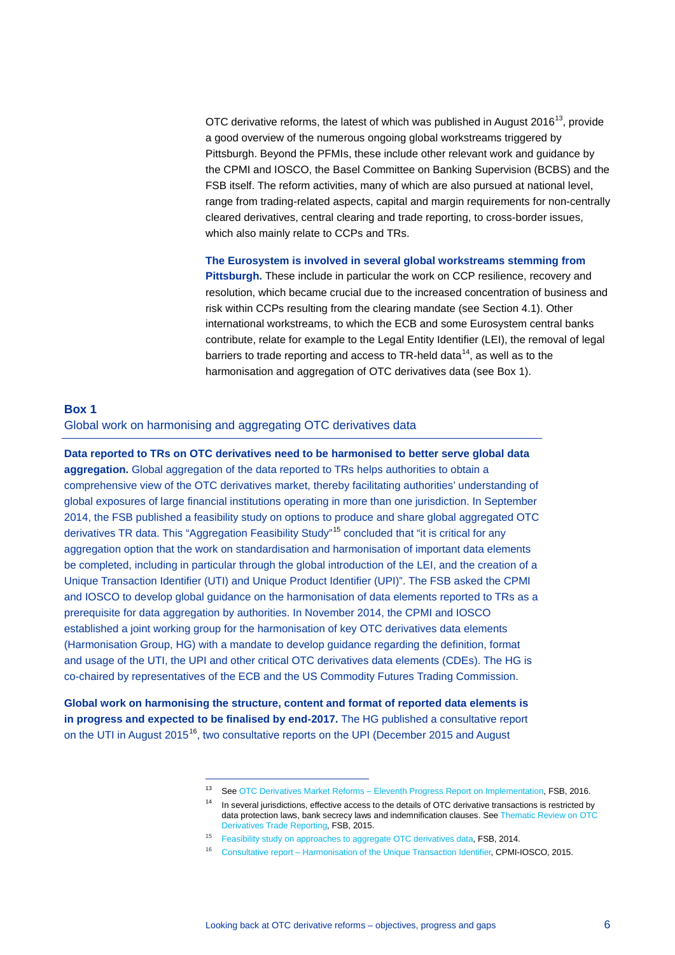OTC derivative reforms, the latest of which was published in August 2016<sup>13</sup>, provide a good overview of the numerous ongoing global workstreams triggered by Pittsburgh. Beyond the PFMIs, these include other relevant work and guidance by the CPMI and IOSCO, the Basel Committee on Banking Supervision (BCBS) and the FSB itself. The reform activities, many of which are also pursued at national level, range from trading-related aspects, capital and margin requirements for non-centrally cleared derivatives, central clearing and trade reporting, to cross-border issues, which also mainly relate to CCPs and TRs.

**The Eurosystem is involved in several global workstreams stemming from Pittsburgh.** These include in particular the work on CCP resilience, recovery and resolution, which became crucial due to the increased concentration of business and risk within CCPs resulting from the clearing mandate (see Section 4.1). Other international workstreams, to which the ECB and some Eurosystem central banks contribute, relate for example to the Legal Entity Identifier (LEI), the removal of legal barriers to trade reporting and access to TR-held data $^{14}$  $^{14}$  $^{14}$ , as well as to the harmonisation and aggregation of OTC derivatives data (see Box 1).

# **Box 1**  Global work on harmonising and aggregating OTC derivatives data

**Data reported to TRs on OTC derivatives need to be harmonised to better serve global data aggregation.** Global aggregation of the data reported to TRs helps authorities to obtain a comprehensive view of the OTC derivatives market, thereby facilitating authorities' understanding of global exposures of large financial institutions operating in more than one jurisdiction. In September 2014, the FSB published a feasibility study on options to produce and share global aggregated OTC derivatives TR data. This "Aggregation Feasibility Study"<sup>[15](#page-5-2)</sup> concluded that "it is critical for any aggregation option that the work on standardisation and harmonisation of important data elements be completed, including in particular through the global introduction of the LEI, and the creation of a Unique Transaction Identifier (UTI) and Unique Product Identifier (UPI)". The FSB asked the CPMI and IOSCO to develop global guidance on the harmonisation of data elements reported to TRs as a prerequisite for data aggregation by authorities. In November 2014, the CPMI and IOSCO established a joint working group for the harmonisation of key OTC derivatives data elements (Harmonisation Group, HG) with a mandate to develop guidance regarding the definition, format and usage of the UTI, the UPI and other critical OTC derivatives data elements (CDEs). The HG is co-chaired by representatives of the ECB and the US Commodity Futures Trading Commission.

<span id="page-5-3"></span><span id="page-5-2"></span><span id="page-5-1"></span><span id="page-5-0"></span>**Global work on harmonising the structure, content and format of reported data elements is in progress and expected to be finalised by end-2017.** The HG published a consultative report on the UTI in August 2015<sup>16</sup>, two consultative reports on the UPI (December 2015 and August

<sup>13</sup> Se[e OTC Derivatives Market Reforms – Eleventh Progress Report on Implementation,](http://www.fsb.org/wp-content/uploads/OTC-Derivatives-Market-Reforms-Eleventh-Progress-Report.pdf) FSB, 2016.

<sup>&</sup>lt;sup>14</sup> In several jurisdictions, effective access to the details of OTC derivative transactions is restricted by data protection laws, bank secrecy laws and indemnification clauses. Se[e Thematic Review on OTC](http://www.fsb.org/2015/11/thematic-review-of-otc-derivatives-trade-reporting/)  [Derivatives Trade Reporting,](http://www.fsb.org/2015/11/thematic-review-of-otc-derivatives-trade-reporting/) FSB, 2015.

<sup>&</sup>lt;sup>15</sup> [Feasibility study on approaches to aggregate OTC derivatives data,](http://www.fsb.org/wp-content/uploads/r_140919.pdf) FSB, 2014.

<sup>16</sup> [Consultative report – Harmonisation of the Unique Transaction Identifier,](http://www.bis.org/cpmi/publ/d131.pdf) CPMI-IOSCO, 2015.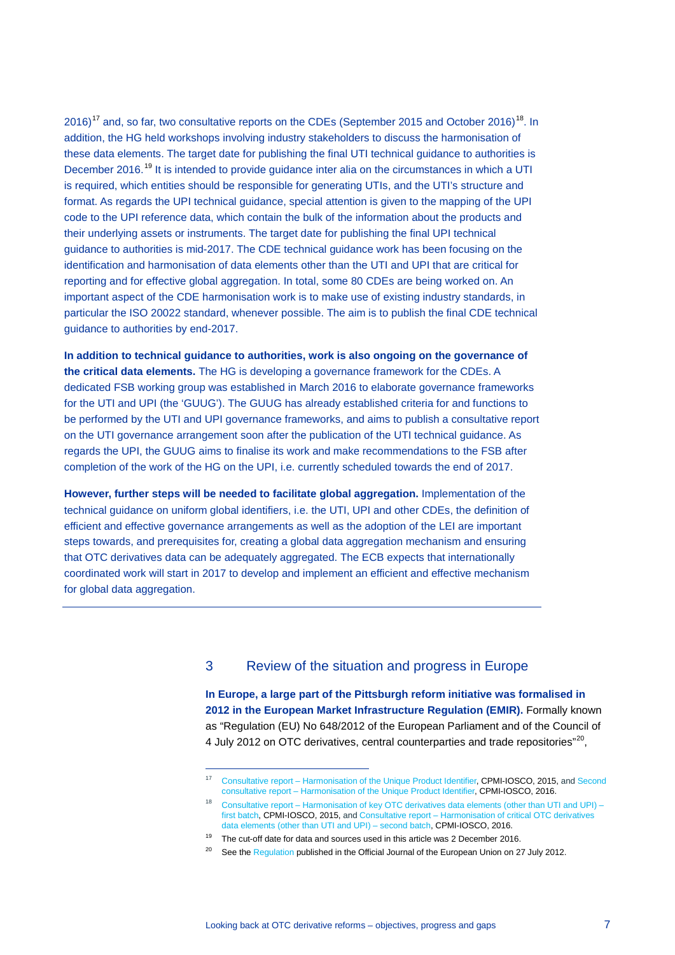2016)<sup>[17](#page-6-0)</sup> and, so far, two consultative reports on the CDEs (September 2015 and October 2016)<sup>[18](#page-6-1)</sup>. In addition, the HG held workshops involving industry stakeholders to discuss the harmonisation of these data elements. The target date for publishing the final UTI technical guidance to authorities is December 2016.<sup>[19](#page-6-2)</sup> It is intended to provide guidance inter alia on the circumstances in which a UTI is required, which entities should be responsible for generating UTIs, and the UTI's structure and format. As regards the UPI technical guidance, special attention is given to the mapping of the UPI code to the UPI reference data, which contain the bulk of the information about the products and their underlying assets or instruments. The target date for publishing the final UPI technical guidance to authorities is mid-2017. The CDE technical guidance work has been focusing on the identification and harmonisation of data elements other than the UTI and UPI that are critical for reporting and for effective global aggregation. In total, some 80 CDEs are being worked on. An important aspect of the CDE harmonisation work is to make use of existing industry standards, in particular the ISO 20022 standard, whenever possible. The aim is to publish the final CDE technical guidance to authorities by end-2017.

**In addition to technical guidance to authorities, work is also ongoing on the governance of the critical data elements.** The HG is developing a governance framework for the CDEs. A dedicated FSB working group was established in March 2016 to elaborate governance frameworks for the UTI and UPI (the 'GUUG'). The GUUG has already established criteria for and functions to be performed by the UTI and UPI governance frameworks, and aims to publish a consultative report on the UTI governance arrangement soon after the publication of the UTI technical guidance. As regards the UPI, the GUUG aims to finalise its work and make recommendations to the FSB after completion of the work of the HG on the UPI, i.e. currently scheduled towards the end of 2017.

**However, further steps will be needed to facilitate global aggregation.** Implementation of the technical guidance on uniform global identifiers, i.e. the UTI, UPI and other CDEs, the definition of efficient and effective governance arrangements as well as the adoption of the LEI are important steps towards, and prerequisites for, creating a global data aggregation mechanism and ensuring that OTC derivatives data can be adequately aggregated. The ECB expects that internationally coordinated work will start in 2017 to develop and implement an efficient and effective mechanism for global data aggregation.

-

# 3 Review of the situation and progress in Europe

**In Europe, a large part of the Pittsburgh reform initiative was formalised in 2012 in the European Market Infrastructure Regulation (EMIR).** Formally known as "Regulation (EU) No 648/2012 of the European Parliament and of the Council of 4 July 2012 on OTC derivatives, central counterparties and trade repositories"<sup>20</sup>.

<span id="page-6-0"></span><sup>17</sup> [Consultative report – Harmonisation of the Unique Product Identifier,](http://www.bis.org/cpmi/publ/d141.htm) CPMI-IOSCO, 2015, an[d Second](http://www.bis.org/cpmi/publ/d151.htm)  [consultative report – Harmonisation of the Unique Product](http://www.bis.org/cpmi/publ/d151.htm) Identifier, CPMI-IOSCO, 2016.

<span id="page-6-1"></span><sup>18</sup> [Consultative report – Harmonisation of key OTC derivatives data elements \(other than UTI and UPI\) –](http://www.bis.org/cpmi/publ/d132.htm)  [first batch,](http://www.bis.org/cpmi/publ/d132.htm) CPMI-IOSCO, 2015, and Consultative report – [Harmonisation of critical OTC derivatives](http://www.bis.org/cpmi/publ/d153.pdf)  [data elements \(other than UTI and UPI\) – second batch,](http://www.bis.org/cpmi/publ/d153.pdf) CPMI-IOSCO, 2016.

<span id="page-6-2"></span> $19$  The cut-off date for data and sources used in this article was 2 December 2016.

<span id="page-6-3"></span><sup>&</sup>lt;sup>20</sup> See th[e Regulation](http://eur-lex.europa.eu/legal-content/EN/TXT/HTML/?uri=CELEX:32012R0648&from=EN) published in the Official Journal of the European Union on 27 July 2012.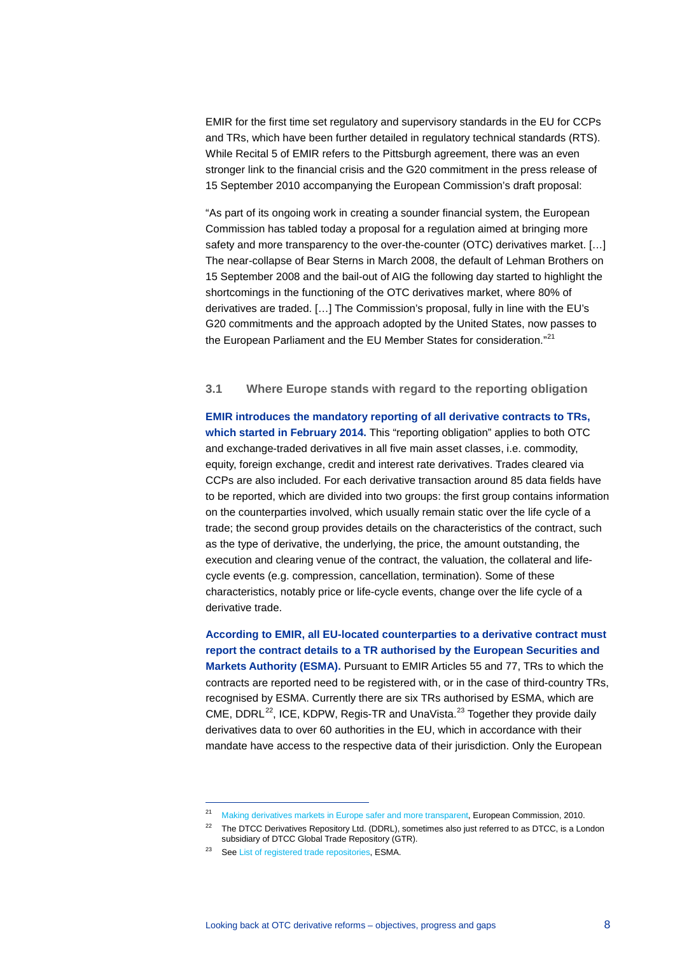EMIR for the first time set regulatory and supervisory standards in the EU for CCPs and TRs, which have been further detailed in regulatory technical standards (RTS). While Recital 5 of EMIR refers to the Pittsburgh agreement, there was an even stronger link to the financial crisis and the G20 commitment in the press release of 15 September 2010 accompanying the European Commission's draft proposal:

"As part of its ongoing work in creating a sounder financial system, the European Commission has tabled today a proposal for a regulation aimed at bringing more safety and more transparency to the over-the-counter (OTC) derivatives market. […] The near-collapse of Bear Sterns in March 2008, the default of Lehman Brothers on 15 September 2008 and the bail-out of AIG the following day started to highlight the shortcomings in the functioning of the OTC derivatives market, where 80% of derivatives are traded. […] The Commission's proposal, fully in line with the EU's G20 commitments and the approach adopted by the United States, now passes to the European Parliament and the EU Member States for consideration."<sup>[21](#page-7-0)</sup>

### **3.1 Where Europe stands with regard to the reporting obligation**

**EMIR introduces the mandatory reporting of all derivative contracts to TRs, which started in February 2014.** This "reporting obligation" applies to both OTC and exchange-traded derivatives in all five main asset classes, i.e. commodity, equity, foreign exchange, credit and interest rate derivatives. Trades cleared via CCPs are also included. For each derivative transaction around 85 data fields have to be reported, which are divided into two groups: the first group contains information on the counterparties involved, which usually remain static over the life cycle of a trade; the second group provides details on the characteristics of the contract, such as the type of derivative, the underlying, the price, the amount outstanding, the execution and clearing venue of the contract, the valuation, the collateral and lifecycle events (e.g. compression, cancellation, termination). Some of these characteristics, notably price or life-cycle events, change over the life cycle of a derivative trade.

**According to EMIR, all EU-located counterparties to a derivative contract must report the contract details to a TR authorised by the European Securities and Markets Authority (ESMA).** Pursuant to EMIR Articles 55 and 77, TRs to which the contracts are reported need to be registered with, or in the case of third-country TRs, recognised by ESMA. Currently there are six TRs authorised by ESMA, which are CME, DDRL $^{22}$ , ICE, KDPW, Regis-TR and UnaVista. $^{23}$  $^{23}$  $^{23}$  Together they provide daily derivatives data to over 60 authorities in the EU, which in accordance with their mandate have access to the respective data of their jurisdiction. Only the European

<sup>&</sup>lt;sup>21</sup> [Making derivatives markets in Europe safer and more transparent,](http://europa.eu/rapid/press-release_IP-10-1125_en.htm?locale=en) European Commission, 2010.

<span id="page-7-2"></span><span id="page-7-1"></span><span id="page-7-0"></span><sup>&</sup>lt;sup>22</sup> The DTCC Derivatives Repository Ltd. (DDRL), sometimes also just referred to as DTCC, is a London subsidiary of DTCC Global Trade Repository (GTR).

<sup>23</sup> Se[e List of registered trade repositories,](https://www.esma.europa.eu/supervision/trade-repositories/list-registered-trade-repositories) ESMA.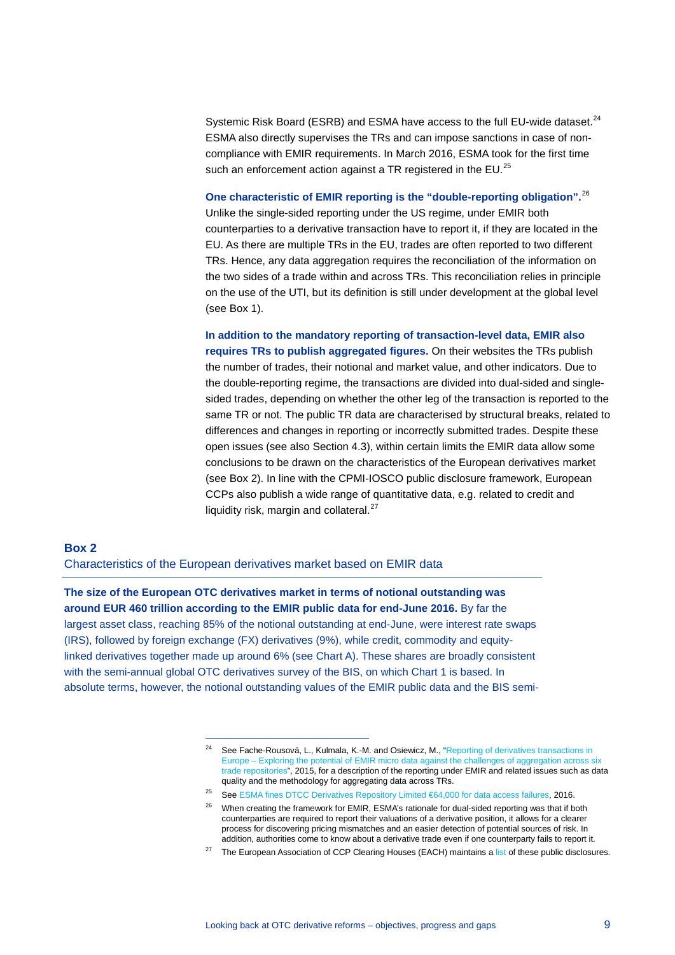Systemic Risk Board (ESRB) and ESMA have access to the full EU-wide dataset.<sup>[24](#page-8-0)</sup> ESMA also directly supervises the TRs and can impose sanctions in case of noncompliance with EMIR requirements. In March 2016, ESMA took for the first time such an enforcement action against a TR registered in the EU.<sup>[25](#page-8-1)</sup>

**One characteristic of EMIR reporting is the "double-reporting obligation".**[26](#page-8-2) Unlike the single-sided reporting under the US regime, under EMIR both counterparties to a derivative transaction have to report it, if they are located in the EU. As there are multiple TRs in the EU, trades are often reported to two different TRs. Hence, any data aggregation requires the reconciliation of the information on the two sides of a trade within and across TRs. This reconciliation relies in principle on the use of the UTI, but its definition is still under development at the global level (see Box 1).

**In addition to the mandatory reporting of transaction-level data, EMIR also requires TRs to publish aggregated figures.** On their websites the TRs publish the number of trades, their notional and market value, and other indicators. Due to the double-reporting regime, the transactions are divided into dual-sided and singlesided trades, depending on whether the other leg of the transaction is reported to the same TR or not. The public TR data are characterised by structural breaks, related to differences and changes in reporting or incorrectly submitted trades. Despite these open issues (see also Section 4.3), within certain limits the EMIR data allow some conclusions to be drawn on the characteristics of the European derivatives market (see Box 2). In line with the CPMI-IOSCO public disclosure framework, European CCPs also publish a wide range of quantitative data, e.g. related to credit and liquidity risk, margin and collateral. $27$ 

### **Box 2**

Characteristics of the European derivatives market based on EMIR data

-

<span id="page-8-0"></span>**The size of the European OTC derivatives market in terms of notional outstanding was around EUR 460 trillion according to the EMIR public data for end-June 2016.** By far the largest asset class, reaching 85% of the notional outstanding at end-June, were interest rate swaps (IRS), followed by foreign exchange (FX) derivatives (9%), while credit, commodity and equitylinked derivatives together made up around 6% (see Chart A). These shares are broadly consistent with the semi-annual global OTC derivatives survey of the BIS, on which Chart 1 is based. In absolute terms, however, the notional outstanding values of the EMIR public data and the BIS semi-

<sup>&</sup>lt;sup>24</sup> See Fache-Rousová, L., Kulmala, K.-M. and Osiewicz, M., "Reporting of derivatives transactions in [Europe – Exploring the potential of EMIR micro data against the challenges of aggregation across six](http://www.bis.org/ifc/publ/ifcb41zd.pdf)  [trade repositories"](http://www.bis.org/ifc/publ/ifcb41zd.pdf), 2015, for a description of the reporting under EMIR and related issues such as data quality and the methodology for aggregating data across TRs.

<span id="page-8-1"></span><sup>25</sup> Se[e ESMA fines DTCC Derivatives Repository Limited €64,000 for data access failures,](https://www.esma.europa.eu/press-news/esma-news/esma-fines-dtcc-derivatives-repository-limited-%E2%82%AC64000-data-access-failures) 2016.

<span id="page-8-2"></span><sup>&</sup>lt;sup>26</sup> When creating the framework for EMIR, ESMA's rationale for dual-sided reporting was that if both counterparties are required to report their valuations of a derivative position, it allows for a clearer process for discovering pricing mismatches and an easier detection of potential sources of risk. In addition, authorities come to know about a derivative trade even if one counterparty fails to report it.

<span id="page-8-3"></span><sup>&</sup>lt;sup>27</sup> The European Association of CCP Clearing Houses (EACH) maintains [a list](http://www.eachccp.eu/cpmi-iosco-public-quantitative-disclosure/) of these public disclosures.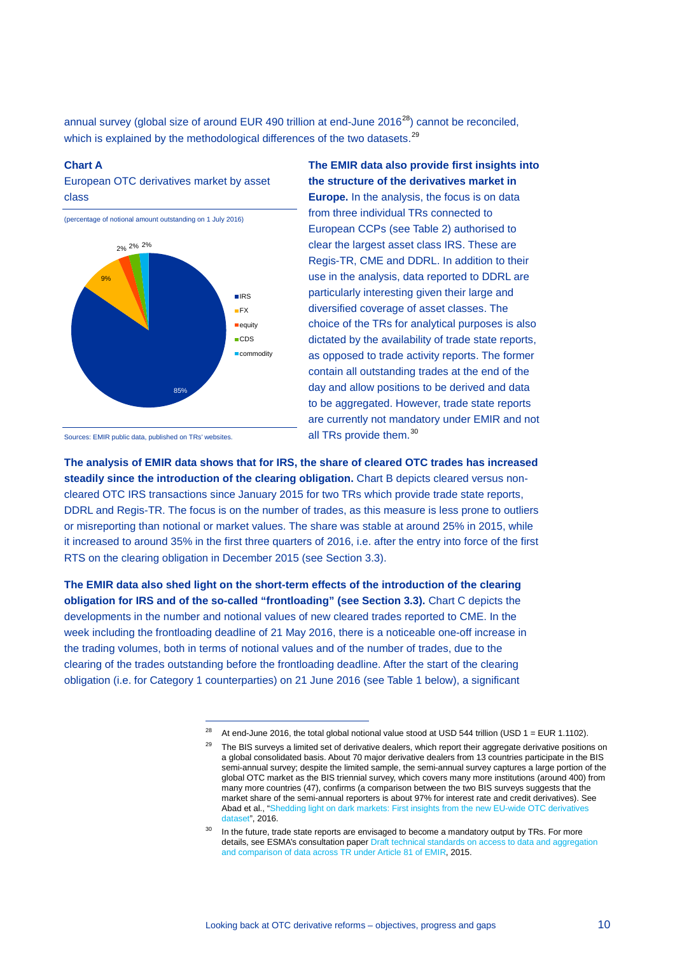annual survey (global size of around EUR 490 trillion at end-June  $2016^{28}$ ) cannot be reconciled, which is explained by the methodological differences of the two datasets.<sup>[29](#page-9-1)</sup>

#### **Chart A**

European OTC derivatives market by asset class

(percentage of notional amount outstanding on 1 July 2016)



**The EMIR data also provide first insights into the structure of the derivatives market in Europe.** In the analysis, the focus is on data from three individual TRs connected to European CCPs (see Table 2) authorised to clear the largest asset class IRS. These are Regis-TR, CME and DDRL. In addition to their use in the analysis, data reported to DDRL are particularly interesting given their large and diversified coverage of asset classes. The choice of the TRs for analytical purposes is also dictated by the availability of trade state reports, as opposed to trade activity reports. The former contain all outstanding trades at the end of the day and allow positions to be derived and data to be aggregated. However, trade state reports are currently not mandatory under EMIR and not all TRs provide them.<sup>[30](#page-9-2)</sup>

Sources: EMIR public data, published on TRs' websites.

**The analysis of EMIR data shows that for IRS, the share of cleared OTC trades has increased steadily since the introduction of the clearing obligation.** Chart B depicts cleared versus noncleared OTC IRS transactions since January 2015 for two TRs which provide trade state reports, DDRL and Regis-TR. The focus is on the number of trades, as this measure is less prone to outliers or misreporting than notional or market values. The share was stable at around 25% in 2015, while it increased to around 35% in the first three quarters of 2016, i.e. after the entry into force of the first RTS on the clearing obligation in December 2015 (see Section 3.3).

<span id="page-9-1"></span><span id="page-9-0"></span>**The EMIR data also shed light on the short-term effects of the introduction of the clearing obligation for IRS and of the so-called "frontloading" (see Section 3.3).** Chart C depicts the developments in the number and notional values of new cleared trades reported to CME. In the week including the frontloading deadline of 21 May 2016, there is a noticeable one-off increase in the trading volumes, both in terms of notional values and of the number of trades, due to the clearing of the trades outstanding before the frontloading deadline. After the start of the clearing obligation (i.e. for Category 1 counterparties) on 21 June 2016 (see Table 1 below), a significant

<sup>&</sup>lt;sup>28</sup> At end-June 2016, the total global notional value stood at USD 544 trillion (USD 1 = EUR 1.1102).

The BIS surveys a limited set of derivative dealers, which report their aggregate derivative positions on a global consolidated basis. About 70 major derivative dealers from 13 countries participate in the BIS semi-annual survey; despite the limited sample, the semi-annual survey captures a large portion of the global OTC market as the BIS triennial survey, which covers many more institutions (around 400) from many more countries (47), confirms (a comparison between the two BIS surveys suggests that the market share of the semi-annual reporters is about 97% for interest rate and credit derivatives). See Abad et al., ["Shedding light on dark markets: First insights from](https://www.esrb.europa.eu/pub/pdf/occasional/20160922_occasional_paper_11.en.pdf?c067e1f68ae0fe23925b88c613c546a8) the new EU-wide OTC derivatives [dataset",](https://www.esrb.europa.eu/pub/pdf/occasional/20160922_occasional_paper_11.en.pdf?c067e1f68ae0fe23925b88c613c546a8) 2016.

<span id="page-9-2"></span> $30$  In the future, trade state reports are envisaged to become a mandatory output by TRs. For more details, see ESMA's consultation pape[r Draft technical standards on access to data and aggregation](https://www.esma.europa.eu/sites/default/files/library/esma-2015-1866_-_consultation_paper_on_access_aggregation_and_comparison_of_tr_data.pdf)  [and comparison of data across TR under Article 81 of EMIR,](https://www.esma.europa.eu/sites/default/files/library/esma-2015-1866_-_consultation_paper_on_access_aggregation_and_comparison_of_tr_data.pdf) 2015.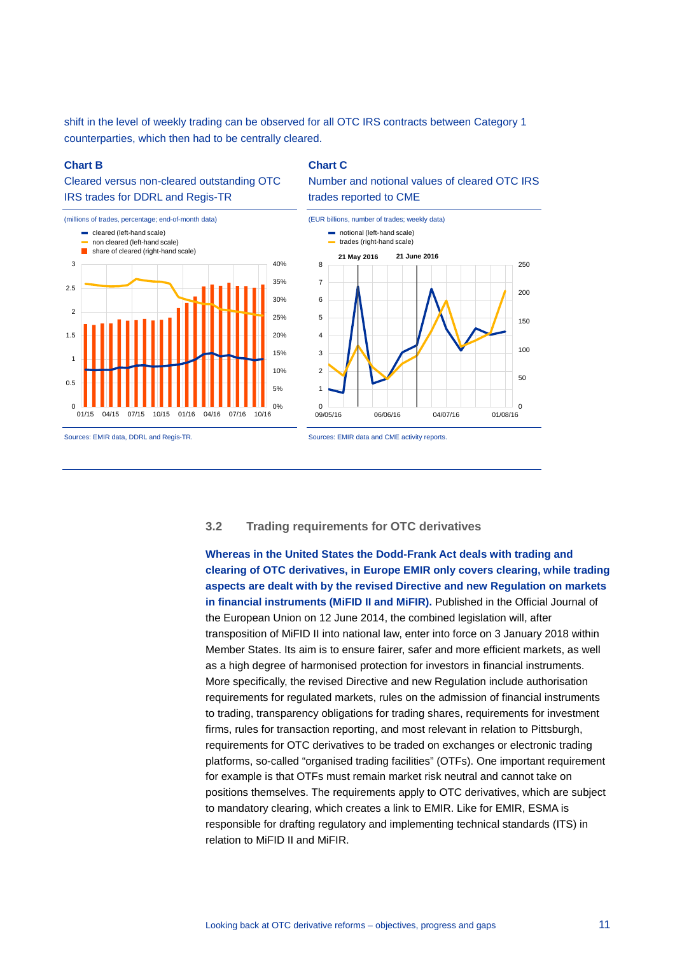shift in the level of weekly trading can be observed for all OTC IRS contracts between Category 1 counterparties, which then had to be centrally cleared.

#### **Chart B**

# Cleared versus non-cleared outstanding OTC IRS trades for DDRL and Regis-TR



#### **Chart C**

Number and notional values of cleared OTC IRS trades reported to CME



# **3.2 Trading requirements for OTC derivatives**

**Whereas in the United States the Dodd-Frank Act deals with trading and clearing of OTC derivatives, in Europe EMIR only covers clearing, while trading aspects are dealt with by the revised Directive and new Regulation on markets in financial instruments (MiFID II and MiFIR).** Published in the Official Journal of the European Union on 12 June 2014, the combined legislation will, after transposition of MiFID II into national law, enter into force on 3 January 2018 within Member States. Its aim is to ensure fairer, safer and more efficient markets, as well as a high degree of harmonised protection for investors in financial instruments. More specifically, the revised Directive and new Regulation include authorisation requirements for regulated markets, rules on the admission of financial instruments to trading, transparency obligations for trading shares, requirements for investment firms, rules for transaction reporting, and most relevant in relation to Pittsburgh, requirements for OTC derivatives to be traded on exchanges or electronic trading platforms, so-called "organised trading facilities" (OTFs). One important requirement for example is that OTFs must remain market risk neutral and cannot take on positions themselves. The requirements apply to OTC derivatives, which are subject to mandatory clearing, which creates a link to EMIR. Like for EMIR, ESMA is responsible for drafting regulatory and implementing technical standards (ITS) in relation to MiFID II and MiFIR.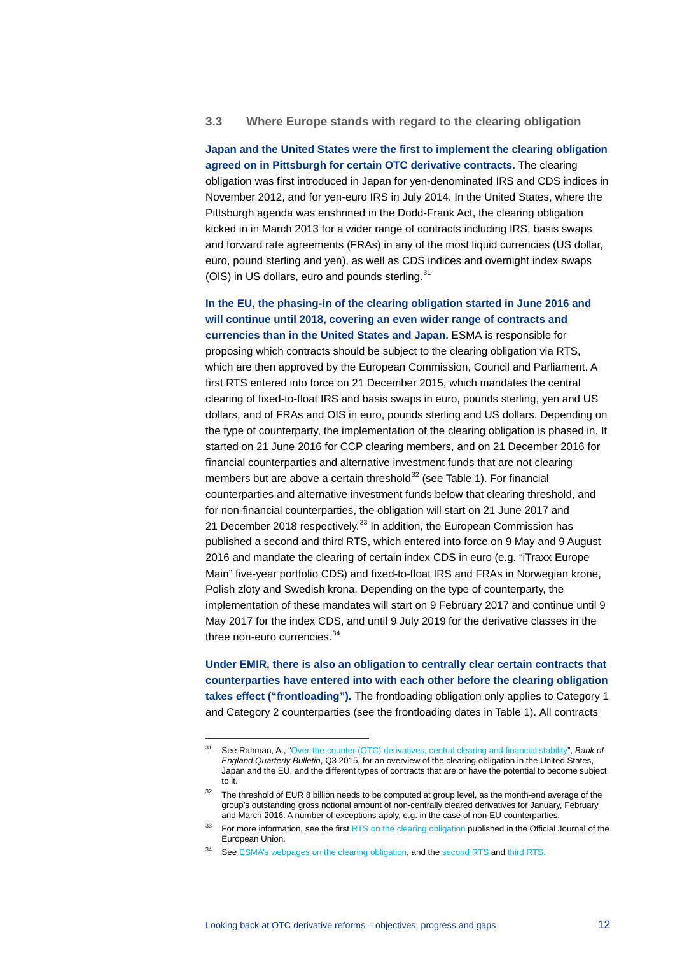## **3.3 Where Europe stands with regard to the clearing obligation**

**Japan and the United States were the first to implement the clearing obligation agreed on in Pittsburgh for certain OTC derivative contracts.** The clearing obligation was first introduced in Japan for yen-denominated IRS and CDS indices in November 2012, and for yen-euro IRS in July 2014. In the United States, where the Pittsburgh agenda was enshrined in the Dodd-Frank Act, the clearing obligation kicked in in March 2013 for a wider range of contracts including IRS, basis swaps and forward rate agreements (FRAs) in any of the most liquid currencies (US dollar, euro, pound sterling and yen), as well as CDS indices and overnight index swaps (OIS) in US dollars, euro and pounds sterling.<sup>[31](#page-11-0)</sup>

**In the EU, the phasing-in of the clearing obligation started in June 2016 and will continue until 2018, covering an even wider range of contracts and currencies than in the United States and Japan.** ESMA is responsible for proposing which contracts should be subject to the clearing obligation via RTS, which are then approved by the European Commission, Council and Parliament. A first RTS entered into force on 21 December 2015, which mandates the central clearing of fixed-to-float IRS and basis swaps in euro, pounds sterling, yen and US dollars, and of FRAs and OIS in euro, pounds sterling and US dollars. Depending on the type of counterparty, the implementation of the clearing obligation is phased in. It started on 21 June 2016 for CCP clearing members, and on 21 December 2016 for financial counterparties and alternative investment funds that are not clearing members but are above a certain threshold $32$  (see Table 1). For financial counterparties and alternative investment funds below that clearing threshold, and for non-financial counterparties, the obligation will start on 21 June 2017 and 21 December 2018 respectively.<sup>[33](#page-11-2)</sup> In addition, the European Commission has published a second and third RTS, which entered into force on 9 May and 9 August 2016 and mandate the clearing of certain index CDS in euro (e.g. "iTraxx Europe Main" five-year portfolio CDS) and fixed-to-float IRS and FRAs in Norwegian krone, Polish zloty and Swedish krona. Depending on the type of counterparty, the implementation of these mandates will start on 9 February 2017 and continue until 9 May 2017 for the index CDS, and until 9 July 2019 for the derivative classes in the three non-euro currencies.<sup>[34](#page-11-3)</sup>

**Under EMIR, there is also an obligation to centrally clear certain contracts that counterparties have entered into with each other before the clearing obligation takes effect ("frontloading").** The frontloading obligation only applies to Category 1 and Category 2 counterparties (see the frontloading dates in Table 1). All contracts

<span id="page-11-0"></span><sup>31</sup> See Rahman, A., ["Over-the-counter \(OTC\) derivatives, central clearing and financial stability"](http://www.bankofengland.co.uk/publications/Documents/quarterlybulletin/2015/q306.pdf), *Bank of England Quarterly Bulletin*, Q3 2015, for an overview of the clearing obligation in the United States, Japan and the EU, and the different types of contracts that are or have the potential to become subject to it.

<span id="page-11-1"></span><sup>&</sup>lt;sup>32</sup> The threshold of EUR 8 billion needs to be computed at group level, as the month-end average of the group's outstanding gross notional amount of non-centrally cleared derivatives for January, February and March 2016. A number of exceptions apply, e.g. in the case of non-EU counterparties.

<span id="page-11-3"></span><span id="page-11-2"></span><sup>&</sup>lt;sup>33</sup> For more information, see the firs[t RTS on the clearing obligation](http://eur-lex.europa.eu/legal-content/EN/TXT/PDF/?uri=OJ:JOL_2015_314_R_0003&from=EN) published in the Official Journal of the European Union.

<sup>34</sup> Se[e ESMA's webpages on the clearing obligation,](https://www.esma.europa.eu/regulation/post-trading/otc-derivatives-and-clearing-obligation) and th[e second RTS](http://eur-lex.europa.eu/legal-content/EN/TXT/PDF/?uri=CELEX:32016R0592&from=EN) and [third RTS.](http://eur-lex.europa.eu/legal-content/EN/TXT/PDF/?uri=CELEX:32016R1178&from=EN)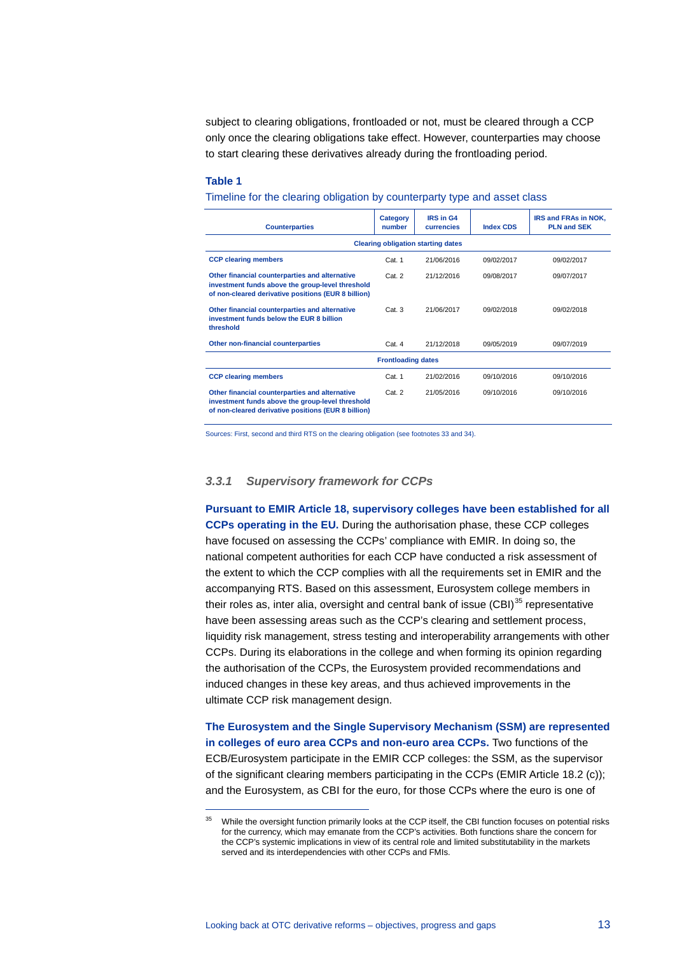subject to clearing obligations, frontloaded or not, must be cleared through a CCP only once the clearing obligations take effect. However, counterparties may choose to start clearing these derivatives already during the frontloading period.

#### **Table 1**

-

Timeline for the clearing obligation by counterparty type and asset class

| <b>Counterparties</b>                                                                                                                                     | Category<br>number | <b>IRS in G4</b><br>currencies | <b>Index CDS</b> | IRS and FRAs in NOK,<br><b>PLN and SEK</b> |  |  |
|-----------------------------------------------------------------------------------------------------------------------------------------------------------|--------------------|--------------------------------|------------------|--------------------------------------------|--|--|
| <b>Clearing obligation starting dates</b>                                                                                                                 |                    |                                |                  |                                            |  |  |
| <b>CCP clearing members</b>                                                                                                                               | Cat. 1             | 21/06/2016                     | 09/02/2017       | 09/02/2017                                 |  |  |
| Other financial counterparties and alternative<br>investment funds above the group-level threshold<br>of non-cleared derivative positions (EUR 8 billion) | Cat.2              | 21/12/2016                     | 09/08/2017       | 09/07/2017                                 |  |  |
| Other financial counterparties and alternative<br>investment funds below the EUR 8 billion<br>threshold                                                   | Cat.3              | 21/06/2017                     | 09/02/2018       | 09/02/2018                                 |  |  |
| Other non-financial counterparties                                                                                                                        | Cat. 4             | 21/12/2018                     | 09/05/2019       | 09/07/2019                                 |  |  |
| <b>Frontloading dates</b>                                                                                                                                 |                    |                                |                  |                                            |  |  |
| <b>CCP clearing members</b>                                                                                                                               | Cat. 1             | 21/02/2016                     | 09/10/2016       | 09/10/2016                                 |  |  |
| Other financial counterparties and alternative<br>investment funds above the group-level threshold<br>of non-cleared derivative positions (EUR 8 billion) | Cat. 2             | 21/05/2016                     | 09/10/2016       | 09/10/2016                                 |  |  |

Sources: First, second and third RTS on the clearing obligation (see footnotes 33 and 34).

### *3.3.1 Supervisory framework for CCPs*

**Pursuant to EMIR Article 18, supervisory colleges have been established for all CCPs operating in the EU.** During the authorisation phase, these CCP colleges have focused on assessing the CCPs' compliance with EMIR. In doing so, the national competent authorities for each CCP have conducted a risk assessment of the extent to which the CCP complies with all the requirements set in EMIR and the accompanying RTS. Based on this assessment, Eurosystem college members in their roles as, inter alia, oversight and central bank of issue (CBI)<sup>[35](#page-12-0)</sup> representative have been assessing areas such as the CCP's clearing and settlement process, liquidity risk management, stress testing and interoperability arrangements with other CCPs. During its elaborations in the college and when forming its opinion regarding the authorisation of the CCPs, the Eurosystem provided recommendations and induced changes in these key areas, and thus achieved improvements in the ultimate CCP risk management design.

**The Eurosystem and the Single Supervisory Mechanism (SSM) are represented in colleges of euro area CCPs and non-euro area CCPs.** Two functions of the ECB/Eurosystem participate in the EMIR CCP colleges: the SSM, as the supervisor of the significant clearing members participating in the CCPs (EMIR Article 18.2 (c)); and the Eurosystem, as CBI for the euro, for those CCPs where the euro is one of

<span id="page-12-0"></span><sup>&</sup>lt;sup>35</sup> While the oversight function primarily looks at the CCP itself, the CBI function focuses on potential risks for the currency, which may emanate from the CCP's activities. Both functions share the concern for the CCP's systemic implications in view of its central role and limited substitutability in the markets served and its interdependencies with other CCPs and FMIs.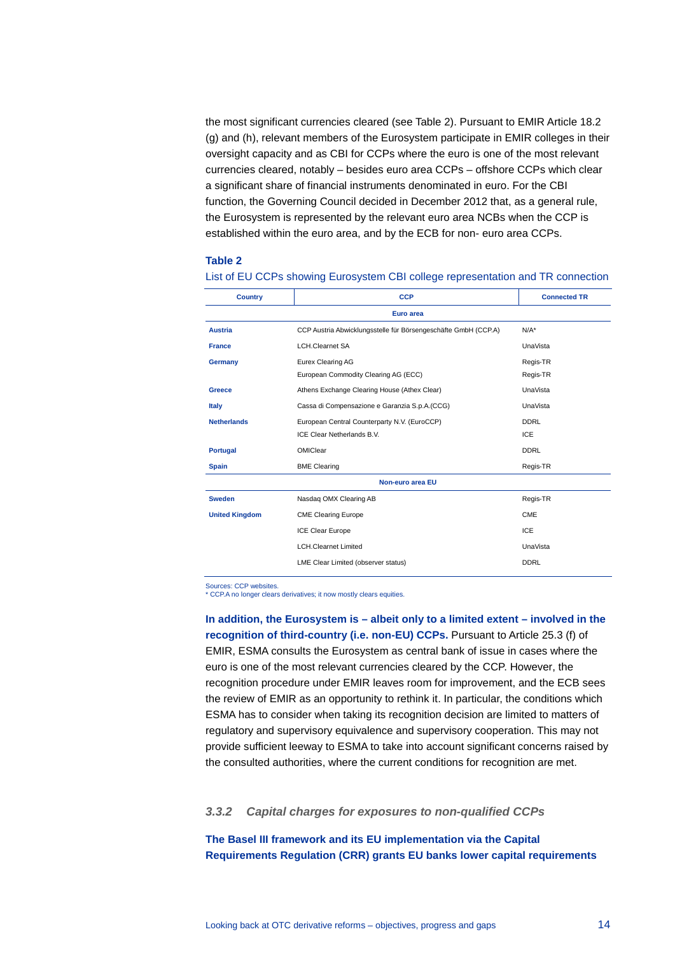the most significant currencies cleared (see Table 2). Pursuant to EMIR Article 18.2 (g) and (h), relevant members of the Eurosystem participate in EMIR colleges in their oversight capacity and as CBI for CCPs where the euro is one of the most relevant currencies cleared, notably – besides euro area CCPs – offshore CCPs which clear a significant share of financial instruments denominated in euro. For the CBI function, the Governing Council decided in December 2012 that, as a general rule, the Eurosystem is represented by the relevant euro area NCBs when the CCP is established within the euro area, and by the ECB for non- euro area CCPs.

#### **Table 2**

| <b>Country</b>        | <b>CCP</b>                                                     | <b>Connected TR</b> |  |  |
|-----------------------|----------------------------------------------------------------|---------------------|--|--|
| Euro area             |                                                                |                     |  |  |
| <b>Austria</b>        | CCP Austria Abwicklungsstelle für Börsengeschäfte GmbH (CCP.A) | $N/A^*$             |  |  |
| <b>France</b>         | <b>LCH.Clearnet SA</b>                                         | UnaVista            |  |  |
| Germany               | <b>Eurex Clearing AG</b>                                       | Regis-TR            |  |  |
|                       | European Commodity Clearing AG (ECC)                           | Regis-TR            |  |  |
| Greece                | Athens Exchange Clearing House (Athex Clear)                   | UnaVista            |  |  |
| <b>Italy</b>          | Cassa di Compensazione e Garanzia S.p.A.(CCG)                  | <b>UnaVista</b>     |  |  |
| <b>Netherlands</b>    | European Central Counterparty N.V. (EuroCCP)                   | <b>DDRL</b>         |  |  |
|                       | ICE Clear Netherlands B.V.                                     | <b>ICE</b>          |  |  |
| <b>Portugal</b>       | OMIClear                                                       | <b>DDRL</b>         |  |  |
| <b>Spain</b>          | <b>BME Clearing</b>                                            | Regis-TR            |  |  |
| Non-euro area EU      |                                                                |                     |  |  |
| <b>Sweden</b>         | Nasdaq OMX Clearing AB                                         | Regis-TR            |  |  |
| <b>United Kingdom</b> | <b>CME Clearing Europe</b>                                     | CME                 |  |  |
|                       | <b>ICE Clear Europe</b>                                        | ICE                 |  |  |
|                       | <b>LCH.Clearnet Limited</b>                                    | UnaVista            |  |  |
|                       | LME Clear Limited (observer status)                            | <b>DDRL</b>         |  |  |

List of EU CCPs showing Eurosystem CBI college representation and TR connection

Sources: CCP websites.

\* CCP.A no longer clears derivatives; it now mostly clears equities.

**In addition, the Eurosystem is – albeit only to a limited extent – involved in the recognition of third-country (i.e. non-EU) CCPs. Pursuant to Article 25.3 (f) of** EMIR, ESMA consults the Eurosystem as central bank of issue in cases where the euro is one of the most relevant currencies cleared by the CCP. However, the recognition procedure under EMIR leaves room for improvement, and the ECB sees the review of EMIR as an opportunity to rethink it. In particular, the conditions which ESMA has to consider when taking its recognition decision are limited to matters of regulatory and supervisory equivalence and supervisory cooperation. This may not provide sufficient leeway to ESMA to take into account significant concerns raised by the consulted authorities, where the current conditions for recognition are met.

### *3.3.2 Capital charges for exposures to non-qualified CCPs*

**The Basel III framework and its EU implementation via the Capital Requirements Regulation (CRR) grants EU banks lower capital requirements**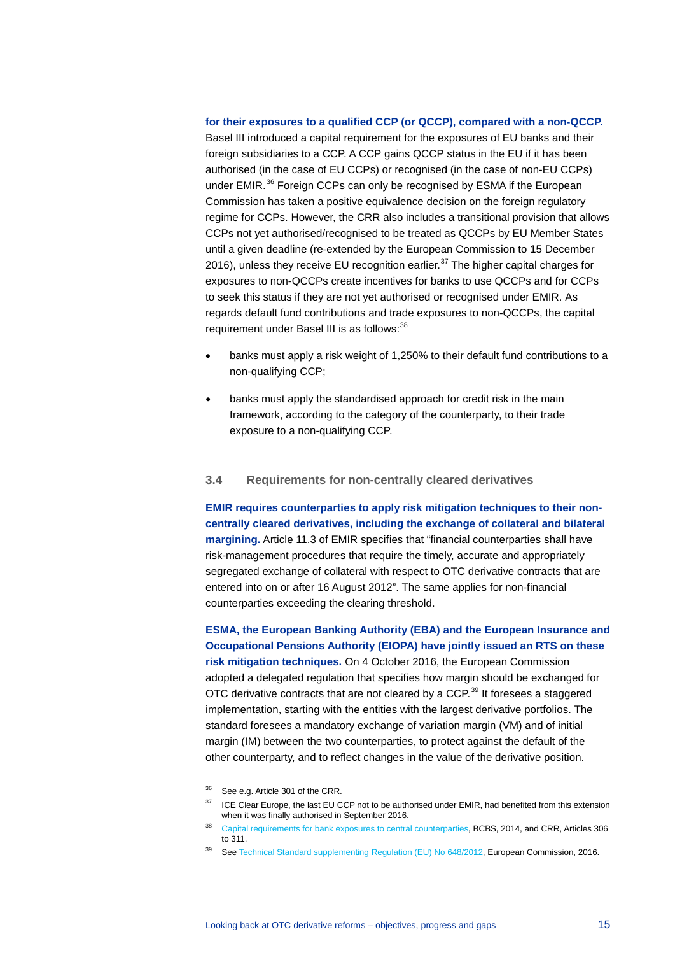#### **for their exposures to a qualified CCP (or QCCP), compared with a non-QCCP.**

Basel III introduced a capital requirement for the exposures of EU banks and their foreign subsidiaries to a CCP. A CCP gains QCCP status in the EU if it has been authorised (in the case of EU CCPs) or recognised (in the case of non-EU CCPs) under EMIR.<sup>[36](#page-14-0)</sup> Foreign CCPs can only be recognised by ESMA if the European Commission has taken a positive equivalence decision on the foreign regulatory regime for CCPs. However, the CRR also includes a transitional provision that allows CCPs not yet authorised/recognised to be treated as QCCPs by EU Member States until a given deadline (re-extended by the European Commission to 15 December 2016), unless they receive EU recognition earlier.<sup>[37](#page-14-1)</sup> The higher capital charges for exposures to non-QCCPs create incentives for banks to use QCCPs and for CCPs to seek this status if they are not yet authorised or recognised under EMIR. As regards default fund contributions and trade exposures to non-QCCPs, the capital requirement under Basel III is as follows:<sup>[38](#page-14-2)</sup>

- banks must apply a risk weight of 1,250% to their default fund contributions to a non-qualifying CCP;
- banks must apply the standardised approach for credit risk in the main framework, according to the category of the counterparty, to their trade exposure to a non-qualifying CCP.

### **3.4 Requirements for non-centrally cleared derivatives**

**EMIR requires counterparties to apply risk mitigation techniques to their noncentrally cleared derivatives, including the exchange of collateral and bilateral margining.** Article 11.3 of EMIR specifies that "financial counterparties shall have risk-management procedures that require the timely, accurate and appropriately segregated exchange of collateral with respect to OTC derivative contracts that are entered into on or after 16 August 2012". The same applies for non-financial counterparties exceeding the clearing threshold.

**ESMA, the European Banking Authority (EBA) and the European Insurance and Occupational Pensions Authority (EIOPA) have jointly issued an RTS on these risk mitigation techniques.** On 4 October 2016, the European Commission adopted a delegated regulation that specifies how margin should be exchanged for OTC derivative contracts that are not cleared by a CCP.<sup>[39](#page-14-3)</sup> It foresees a staggered implementation, starting with the entities with the largest derivative portfolios. The standard foresees a mandatory exchange of variation margin (VM) and of initial margin (IM) between the two counterparties, to protect against the default of the other counterparty, and to reflect changes in the value of the derivative position.

<span id="page-14-0"></span><sup>&</sup>lt;sup>36</sup> See e.g. Article 301 of the CRR.

<span id="page-14-1"></span><sup>&</sup>lt;sup>37</sup> ICE Clear Europe, the last EU CCP not to be authorised under EMIR, had benefited from this extension when it was finally authorised in September 2016.

<span id="page-14-2"></span><sup>38</sup> [Capital requirements for bank exposures to central counterparties,](http://www.bis.org/publ/bcbs282.pdf) BCBS, 2014, and CRR, Articles 306 to 311.

<span id="page-14-3"></span><sup>&</sup>lt;sup>39</sup> Se[e Technical Standard supplementing Regulation \(EU\) No 648/2012,](http://ec.europa.eu/finance/financial-markets/docs/derivatives/161004-delegated-act_en.pdf) European Commission, 2016.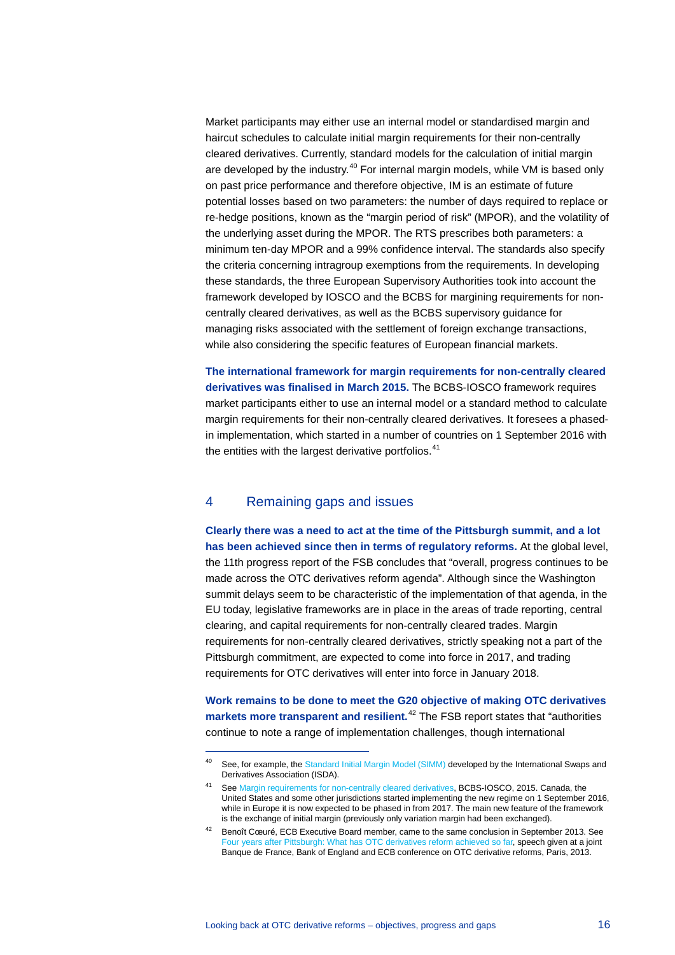Market participants may either use an internal model or standardised margin and haircut schedules to calculate initial margin requirements for their non-centrally cleared derivatives. Currently, standard models for the calculation of initial margin are developed by the industry.<sup>[40](#page-15-0)</sup> For internal margin models, while VM is based only on past price performance and therefore objective, IM is an estimate of future potential losses based on two parameters: the number of days required to replace or re-hedge positions, known as the "margin period of risk" (MPOR), and the volatility of the underlying asset during the MPOR. The RTS prescribes both parameters: a minimum ten-day MPOR and a 99% confidence interval. The standards also specify the criteria concerning intragroup exemptions from the requirements. In developing these standards, the three European Supervisory Authorities took into account the framework developed by IOSCO and the BCBS for margining requirements for noncentrally cleared derivatives, as well as the BCBS supervisory guidance for managing risks associated with the settlement of foreign exchange transactions, while also considering the specific features of European financial markets.

**The international framework for margin requirements for non-centrally cleared derivatives was finalised in March 2015.** The BCBS-IOSCO framework requires market participants either to use an internal model or a standard method to calculate margin requirements for their non-centrally cleared derivatives. It foresees a phasedin implementation, which started in a number of countries on 1 September 2016 with the entities with the largest derivative portfolios. $41$ 

# 4 Remaining gaps and issues

-

**Clearly there was a need to act at the time of the Pittsburgh summit, and a lot has been achieved since then in terms of regulatory reforms.** At the global level, the 11th progress report of the FSB concludes that "overall, progress continues to be made across the OTC derivatives reform agenda". Although since the Washington summit delays seem to be characteristic of the implementation of that agenda, in the EU today, legislative frameworks are in place in the areas of trade reporting, central clearing, and capital requirements for non-centrally cleared trades. Margin requirements for non-centrally cleared derivatives, strictly speaking not a part of the Pittsburgh commitment, are expected to come into force in 2017, and trading requirements for OTC derivatives will enter into force in January 2018.

**Work remains to be done to meet the G20 objective of making OTC derivatives markets more transparent and resilient.** [42](#page-15-2) The FSB report states that "authorities continue to note a range of implementation challenges, though international

<span id="page-15-0"></span><sup>&</sup>lt;sup>40</sup> See, for example, th[e Standard Initial Margin Model \(SIMM\)](http://www2.isda.org/functional-areas/wgmr-implementation/) developed by the International Swaps and Derivatives Association (ISDA).

<span id="page-15-1"></span><sup>41</sup> Se[e Margin requirements for non-centrally cleared derivatives,](http://www.bis.org/bcbs/publ/d317.pdf) BCBS-IOSCO, 2015. Canada, the United States and some other jurisdictions started implementing the new regime on 1 September 2016, while in Europe it is now expected to be phased in from 2017. The main new feature of the framework is the exchange of initial margin (previously only variation margin had been exchanged).

<span id="page-15-2"></span><sup>&</sup>lt;sup>42</sup> Benoît Cœuré, ECB Executive Board member, came to the same conclusion in September 2013. See [Four years after Pittsburgh: What has OTC derivatives reform achieved so far,](http://www.ecb.europa.eu/press/key/date/2013/html/sp130911.en.html) speech given at a joint Banque de France, Bank of England and ECB conference on OTC derivative reforms, Paris, 2013.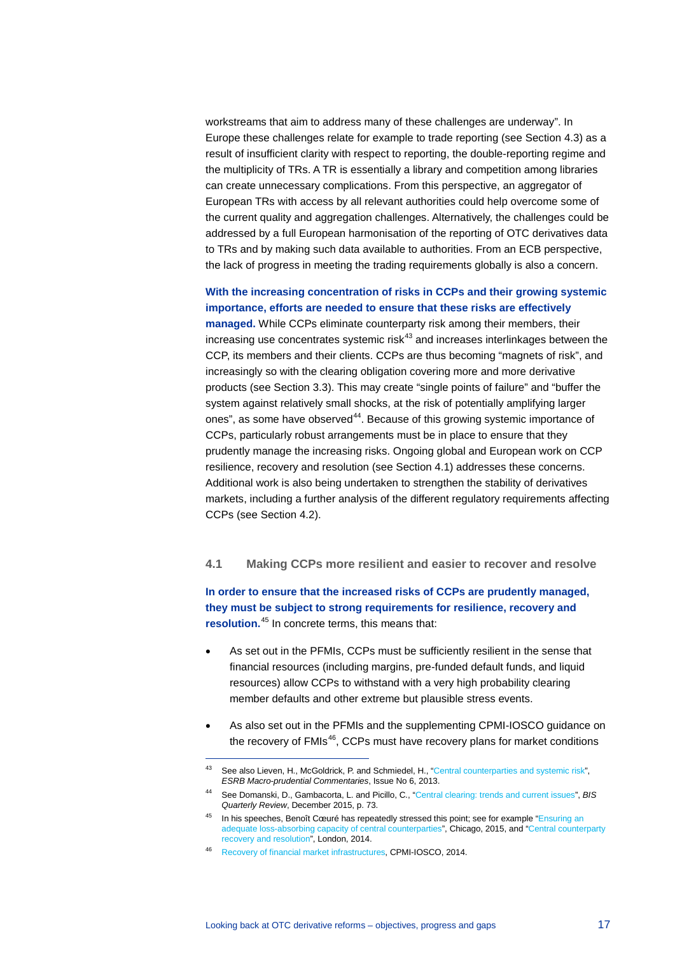workstreams that aim to address many of these challenges are underway". In Europe these challenges relate for example to trade reporting (see Section 4.3) as a result of insufficient clarity with respect to reporting, the double-reporting regime and the multiplicity of TRs. A TR is essentially a library and competition among libraries can create unnecessary complications. From this perspective, an aggregator of European TRs with access by all relevant authorities could help overcome some of the current quality and aggregation challenges. Alternatively, the challenges could be addressed by a full European harmonisation of the reporting of OTC derivatives data to TRs and by making such data available to authorities. From an ECB perspective, the lack of progress in meeting the trading requirements globally is also a concern.

# **With the increasing concentration of risks in CCPs and their growing systemic importance, efforts are needed to ensure that these risks are effectively**

**managed.** While CCPs eliminate counterparty risk among their members, their  $i$ ncreasing use concentrates systemic ris $k^{43}$  $k^{43}$  $k^{43}$  and increases interlinkages between the CCP, its members and their clients. CCPs are thus becoming "magnets of risk", and increasingly so with the clearing obligation covering more and more derivative products (see Section 3.3). This may create "single points of failure" and "buffer the system against relatively small shocks, at the risk of potentially amplifying larger ones", as some have observed<sup>44</sup>. Because of this growing systemic importance of CCPs, particularly robust arrangements must be in place to ensure that they prudently manage the increasing risks. Ongoing global and European work on CCP resilience, recovery and resolution (see Section 4.1) addresses these concerns. Additional work is also being undertaken to strengthen the stability of derivatives markets, including a further analysis of the different regulatory requirements affecting CCPs (see Section 4.2).

# **4.1 Making CCPs more resilient and easier to recover and resolve**

**In order to ensure that the increased risks of CCPs are prudently managed, they must be subject to strong requirements for resilience, recovery and resolution.**[45](#page-16-2) In concrete terms, this means that:

- As set out in the PFMIs, CCPs must be sufficiently resilient in the sense that financial resources (including margins, pre-funded default funds, and liquid resources) allow CCPs to withstand with a very high probability clearing member defaults and other extreme but plausible stress events.
- As also set out in the PFMIs and the supplementing CPMI-IOSCO guidance on the recovery of FMIs<sup>46</sup>, CCPs must have recovery plans for market conditions

<span id="page-16-0"></span><sup>43</sup> See also Lieven, H., McGoldrick, P. and Schmiedel, H., ["Central counterparties and systemic risk"](https://www.esrb.europa.eu/pub/pdf/commentaries/ESRB_commentary_1311.pdf?c7bdc8da2a559dc321fd51018bfc9502), *ESRB Macro-prudential Commentaries*, Issue No 6, 2013.

<span id="page-16-1"></span><sup>44</sup> See Domanski, D., Gambacorta, L. and Picillo, C., ["Central clearing: trends and current issues",](http://www.bis.org/publ/qtrpdf/r_qt1512g.pdf) *BIS Quarterly Review*, December 2015, p. 73.

<span id="page-16-2"></span><sup>&</sup>lt;sup>45</sup> In his speeches, Benoît Cœuré has repeatedly stressed this point; see for example "Ensuring an [adequate loss-absorbing capacity of central counterparties"](https://www.ecb.europa.eu/press/key/date/2015/html/sp150411.en.html), Chicago, 2015, and "Central counterparty recovery and resolution", London, 2014.

<span id="page-16-3"></span><sup>46</sup> [Recovery of financial market infrastructures,](http://www.bis.org/cpmi/publ/d121.htm) CPMI-IOSCO, 2014.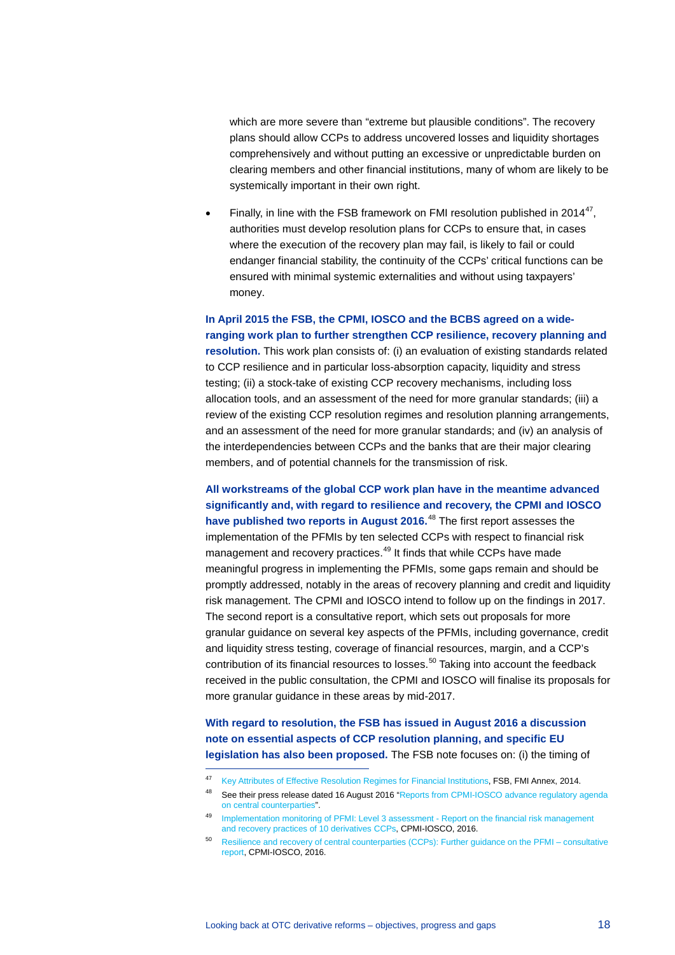which are more severe than "extreme but plausible conditions". The recovery plans should allow CCPs to address uncovered losses and liquidity shortages comprehensively and without putting an excessive or unpredictable burden on clearing members and other financial institutions, many of whom are likely to be systemically important in their own right.

Finally, in line with the FSB framework on FMI resolution published in 2014<sup>[47](#page-17-0)</sup>, authorities must develop resolution plans for CCPs to ensure that, in cases where the execution of the recovery plan may fail, is likely to fail or could endanger financial stability, the continuity of the CCPs' critical functions can be ensured with minimal systemic externalities and without using taxpayers' money.

**In April 2015 the FSB, the CPMI, IOSCO and the BCBS agreed on a wideranging work plan to further strengthen CCP resilience, recovery planning and resolution.** This work plan consists of: (i) an evaluation of existing standards related to CCP resilience and in particular loss-absorption capacity, liquidity and stress testing; (ii) a stock-take of existing CCP recovery mechanisms, including loss allocation tools, and an assessment of the need for more granular standards; (iii) a review of the existing CCP resolution regimes and resolution planning arrangements, and an assessment of the need for more granular standards; and (iv) an analysis of the interdependencies between CCPs and the banks that are their major clearing members, and of potential channels for the transmission of risk.

**All workstreams of the global CCP work plan have in the meantime advanced significantly and, with regard to resilience and recovery, the CPMI and IOSCO have published two reports in August 2016.** [48](#page-17-1) The first report assesses the implementation of the PFMIs by ten selected CCPs with respect to financial risk management and recovery practices.<sup>[49](#page-17-2)</sup> It finds that while CCPs have made meaningful progress in implementing the PFMIs, some gaps remain and should be promptly addressed, notably in the areas of recovery planning and credit and liquidity risk management. The CPMI and IOSCO intend to follow up on the findings in 2017. The second report is a consultative report, which sets out proposals for more granular guidance on several key aspects of the PFMIs, including governance, credit and liquidity stress testing, coverage of financial resources, margin, and a CCP's contribution of its financial resources to losses. [50](#page-17-3) Taking into account the feedback received in the public consultation, the CPMI and IOSCO will finalise its proposals for more granular guidance in these areas by mid-2017.

**With regard to resolution, the FSB has issued in August 2016 a discussion note on essential aspects of CCP resolution planning, and specific EU legislation has also been proposed.** The FSB note focuses on: (i) the timing of

<span id="page-17-0"></span><sup>47</sup> Key Attributes of [Effective Resolution Regimes for Financial Institutions,](http://www.fsb.org/wp-content/uploads/r_141015.pdf) FSB, FMI Annex, 2014.

<span id="page-17-1"></span><sup>48</sup> See their press release dated 16 August 2016 "Reports from CPMI-IOSCO advance regulatory agenda [on central counterparties"](https://www.bis.org/press/p160816.htm).

<sup>49</sup> Implementation monitoring of PFMI: Level 3 assessment - Report on the financial risk management [and recovery practices of 10 derivatives CCPs,](https://www.bis.org/cpmi/publ/d148.htm) CPMI-IOSCO, 2016.

<span id="page-17-3"></span><span id="page-17-2"></span><sup>50</sup> [Resilience and recovery of central counterparties \(CCPs\): Further guidance on the PFMI – consultative](http://www.bis.org/cpmi/publ/d149.pdf)  [report,](http://www.bis.org/cpmi/publ/d149.pdf) CPMI-IOSCO, 2016.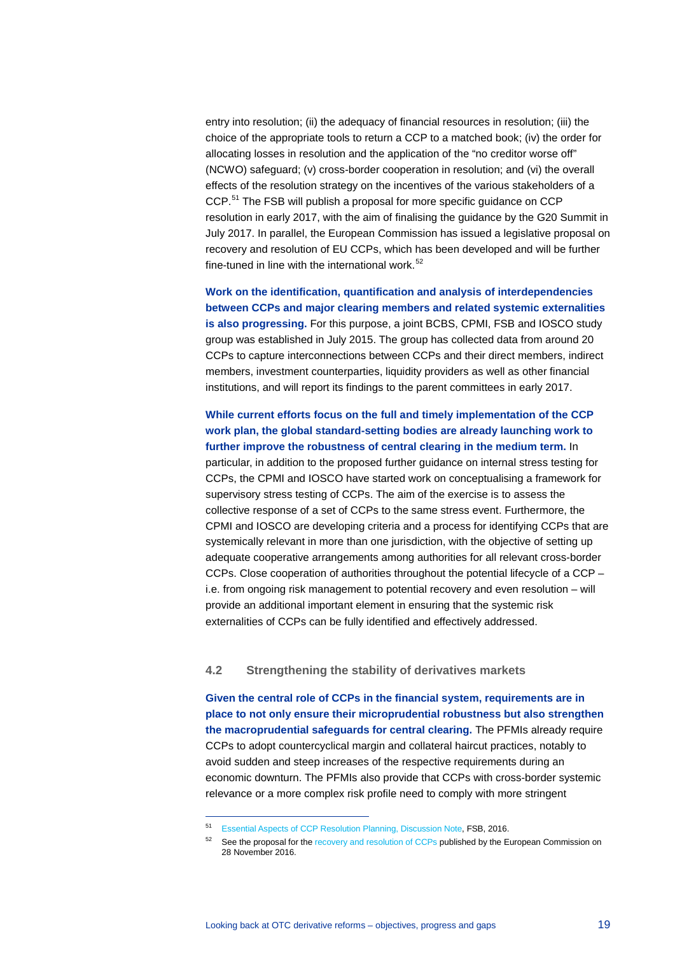entry into resolution; (ii) the adequacy of financial resources in resolution; (iii) the choice of the appropriate tools to return a CCP to a matched book; (iv) the order for allocating losses in resolution and the application of the "no creditor worse off" (NCWO) safeguard; (v) cross-border cooperation in resolution; and (vi) the overall effects of the resolution strategy on the incentives of the various stakeholders of a CCP.<sup>[51](#page-18-0)</sup> The FSB will publish a proposal for more specific guidance on CCP resolution in early 2017, with the aim of finalising the guidance by the G20 Summit in July 2017. In parallel, the European Commission has issued a legislative proposal on recovery and resolution of EU CCPs, which has been developed and will be further fine-tuned in line with the international work. $52$ 

**Work on the identification, quantification and analysis of interdependencies between CCPs and major clearing members and related systemic externalities is also progressing.** For this purpose, a joint BCBS, CPMI, FSB and IOSCO study group was established in July 2015. The group has collected data from around 20 CCPs to capture interconnections between CCPs and their direct members, indirect members, investment counterparties, liquidity providers as well as other financial institutions, and will report its findings to the parent committees in early 2017.

**While current efforts focus on the full and timely implementation of the CCP work plan, the global standard-setting bodies are already launching work to further improve the robustness of central clearing in the medium term.** In particular, in addition to the proposed further guidance on internal stress testing for CCPs, the CPMI and IOSCO have started work on conceptualising a framework for supervisory stress testing of CCPs. The aim of the exercise is to assess the collective response of a set of CCPs to the same stress event. Furthermore, the CPMI and IOSCO are developing criteria and a process for identifying CCPs that are systemically relevant in more than one jurisdiction, with the objective of setting up adequate cooperative arrangements among authorities for all relevant cross-border CCPs. Close cooperation of authorities throughout the potential lifecycle of a CCP – i.e. from ongoing risk management to potential recovery and even resolution – will provide an additional important element in ensuring that the systemic risk externalities of CCPs can be fully identified and effectively addressed.

## **4.2 Strengthening the stability of derivatives markets**

**Given the central role of CCPs in the financial system, requirements are in place to not only ensure their microprudential robustness but also strengthen the macroprudential safeguards for central clearing.** The PFMIs already require CCPs to adopt countercyclical margin and collateral haircut practices, notably to avoid sudden and steep increases of the respective requirements during an economic downturn. The PFMIs also provide that CCPs with cross-border systemic relevance or a more complex risk profile need to comply with more stringent

<span id="page-18-0"></span><sup>51</sup> [Essential Aspects of CCP Resolution Planning, Discussion Note,](http://www.fsb.org/2016/08/essential-aspects-of-ccp-resolution-planning/) FSB, 2016.

<span id="page-18-1"></span><sup>&</sup>lt;sup>52</sup> See the proposal for the [recovery and resolution of CCPs](http://ec.europa.eu/finance/financial-markets/ccp-resolution/index_en.htm) published by the European Commission on 28 November 2016.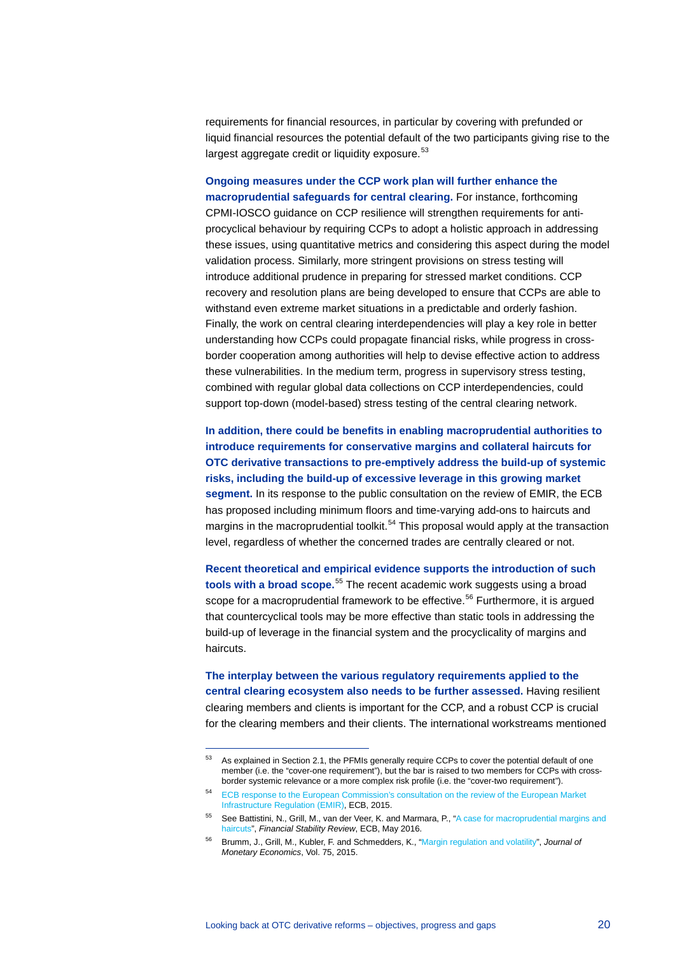requirements for financial resources, in particular by covering with prefunded or liquid financial resources the potential default of the two participants giving rise to the largest aggregate credit or liquidity exposure.<sup>[53](#page-19-0)</sup>

**Ongoing measures under the CCP work plan will further enhance the macroprudential safeguards for central clearing.** For instance, forthcoming CPMI-IOSCO guidance on CCP resilience will strengthen requirements for antiprocyclical behaviour by requiring CCPs to adopt a holistic approach in addressing these issues, using quantitative metrics and considering this aspect during the model validation process. Similarly, more stringent provisions on stress testing will introduce additional prudence in preparing for stressed market conditions. CCP recovery and resolution plans are being developed to ensure that CCPs are able to withstand even extreme market situations in a predictable and orderly fashion. Finally, the work on central clearing interdependencies will play a key role in better understanding how CCPs could propagate financial risks, while progress in crossborder cooperation among authorities will help to devise effective action to address these vulnerabilities. In the medium term, progress in supervisory stress testing, combined with regular global data collections on CCP interdependencies, could support top-down (model-based) stress testing of the central clearing network.

**In addition, there could be benefits in enabling macroprudential authorities to introduce requirements for conservative margins and collateral haircuts for OTC derivative transactions to pre-emptively address the build-up of systemic risks, including the build-up of excessive leverage in this growing market segment.** In its response to the public consultation on the review of EMIR, the ECB has proposed including minimum floors and time-varying add-ons to haircuts and margins in the macroprudential toolkit.<sup>[54](#page-19-1)</sup> This proposal would apply at the transaction level, regardless of whether the concerned trades are centrally cleared or not.

**Recent theoretical and empirical evidence supports the introduction of such tools with a broad scope.** [55](#page-19-2) The recent academic work suggests using a broad scope for a macroprudential framework to be effective.<sup>[56](#page-19-3)</sup> Furthermore, it is argued that countercyclical tools may be more effective than static tools in addressing the build-up of leverage in the financial system and the procyclicality of margins and haircuts.

**The interplay between the various regulatory requirements applied to the central clearing ecosystem also needs to be further assessed.** Having resilient clearing members and clients is important for the CCP, and a robust CCP is crucial for the clearing members and their clients. The international workstreams mentioned

<span id="page-19-0"></span><sup>53</sup> As explained in Section 2.1, the PFMIs generally require CCPs to cover the potential default of one member (i.e. the "cover-one requirement"), but the bar is raised to two members for CCPs with crossborder systemic relevance or a more complex risk profile (i.e. the "cover-two requirement").

<span id="page-19-1"></span><sup>54</sup> [ECB response to the European Commission's consultation on the review of the European Market](http://www.ecb.europa.eu/pub/pdf/other/ecb_reply_to_commission_public_consultation_emiren.pdf?d2d149511414150aa03972c156c5e9d9)  [Infrastructure Regulation \(EMIR\),](http://www.ecb.europa.eu/pub/pdf/other/ecb_reply_to_commission_public_consultation_emiren.pdf?d2d149511414150aa03972c156c5e9d9) ECB, 2015.

<span id="page-19-2"></span><sup>55</sup> See Battistini, N., Grill, M., van der Veer, K. and Marmara, P., ["A case for macroprudential margins and](https://www.ecb.europa.eu/pub/fsr/shared/pdf/sfafinancialstabilityreview201605.en.pdf?3787820cc341704e6bf4c4fb13d76a8c)  [haircuts"](https://www.ecb.europa.eu/pub/fsr/shared/pdf/sfafinancialstabilityreview201605.en.pdf?3787820cc341704e6bf4c4fb13d76a8c), *Financial Stability Review*, ECB, May 2016.

<span id="page-19-3"></span><sup>56</sup> Brumm, J., Grill, M., Kubler, F. and Schmedders, K., ["Margin regulation and volatility",](http://www.sciencedirect.com/science/article/pii/S0304393214001834) *Journal of Monetary Economics*, Vol. 75, 2015.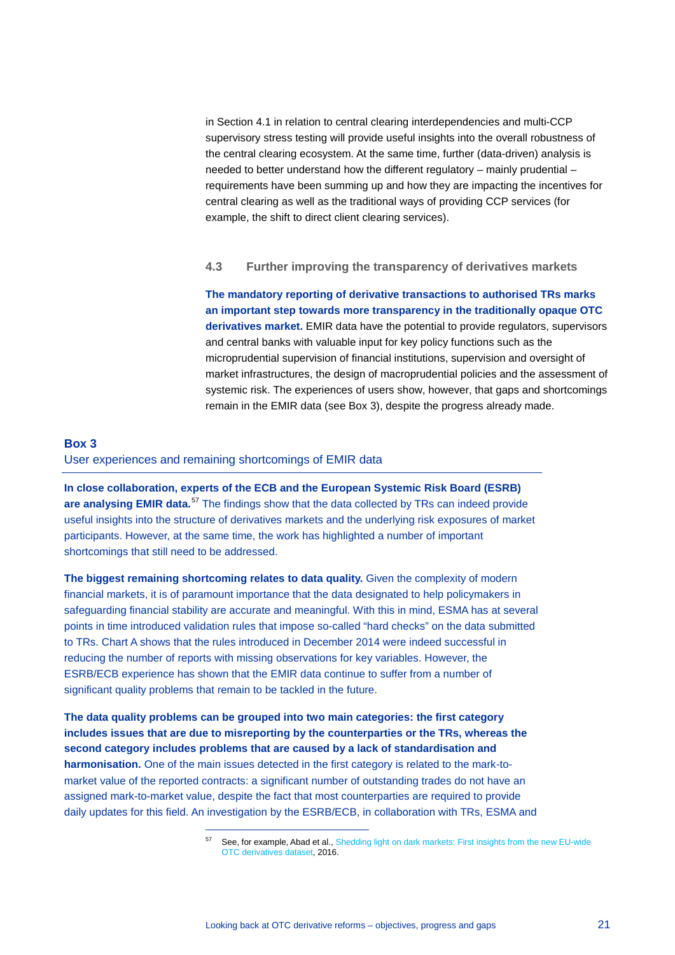in Section 4.1 in relation to central clearing interdependencies and multi-CCP supervisory stress testing will provide useful insights into the overall robustness of the central clearing ecosystem. At the same time, further (data-driven) analysis is needed to better understand how the different regulatory – mainly prudential – requirements have been summing up and how they are impacting the incentives for central clearing as well as the traditional ways of providing CCP services (for example, the shift to direct client clearing services).

## **4.3 Further improving the transparency of derivatives markets**

**The mandatory reporting of derivative transactions to authorised TRs marks an important step towards more transparency in the traditionally opaque OTC derivatives market.** EMIR data have the potential to provide regulators, supervisors and central banks with valuable input for key policy functions such as the microprudential supervision of financial institutions, supervision and oversight of market infrastructures, the design of macroprudential policies and the assessment of systemic risk. The experiences of users show, however, that gaps and shortcomings remain in the EMIR data (see Box 3), despite the progress already made.

## **Box 3**

### User experiences and remaining shortcomings of EMIR data

-

**In close collaboration, experts of the ECB and the European Systemic Risk Board (ESRB) are analysing EMIR data.**[57](#page-20-0) The findings show that the data collected by TRs can indeed provide useful insights into the structure of derivatives markets and the underlying risk exposures of market participants. However, at the same time, the work has highlighted a number of important shortcomings that still need to be addressed.

**The biggest remaining shortcoming relates to data quality.** Given the complexity of modern financial markets, it is of paramount importance that the data designated to help policymakers in safeguarding financial stability are accurate and meaningful. With this in mind, ESMA has at several points in time introduced validation rules that impose so-called "hard checks" on the data submitted to TRs. Chart A shows that the rules introduced in December 2014 were indeed successful in reducing the number of reports with missing observations for key variables. However, the ESRB/ECB experience has shown that the EMIR data continue to suffer from a number of significant quality problems that remain to be tackled in the future.

<span id="page-20-0"></span>**The data quality problems can be grouped into two main categories: the first category includes issues that are due to misreporting by the counterparties or the TRs, whereas the second category includes problems that are caused by a lack of standardisation and harmonisation.** One of the main issues detected in the first category is related to the mark-tomarket value of the reported contracts: a significant number of outstanding trades do not have an assigned mark-to-market value, despite the fact that most counterparties are required to provide daily updates for this field. An investigation by the ESRB/ECB, in collaboration with TRs, ESMA and

<sup>57</sup> See, for example, Abad et al.[, Shedding light on dark markets: First insights from the new EU-wide](https://www.esrb.europa.eu/pub/pdf/occasional/20160922_occasional_paper_11.en.pdf?c067e1f68ae0fe23925b88c613c546a8)  [OTC derivatives dataset,](https://www.esrb.europa.eu/pub/pdf/occasional/20160922_occasional_paper_11.en.pdf?c067e1f68ae0fe23925b88c613c546a8) 2016.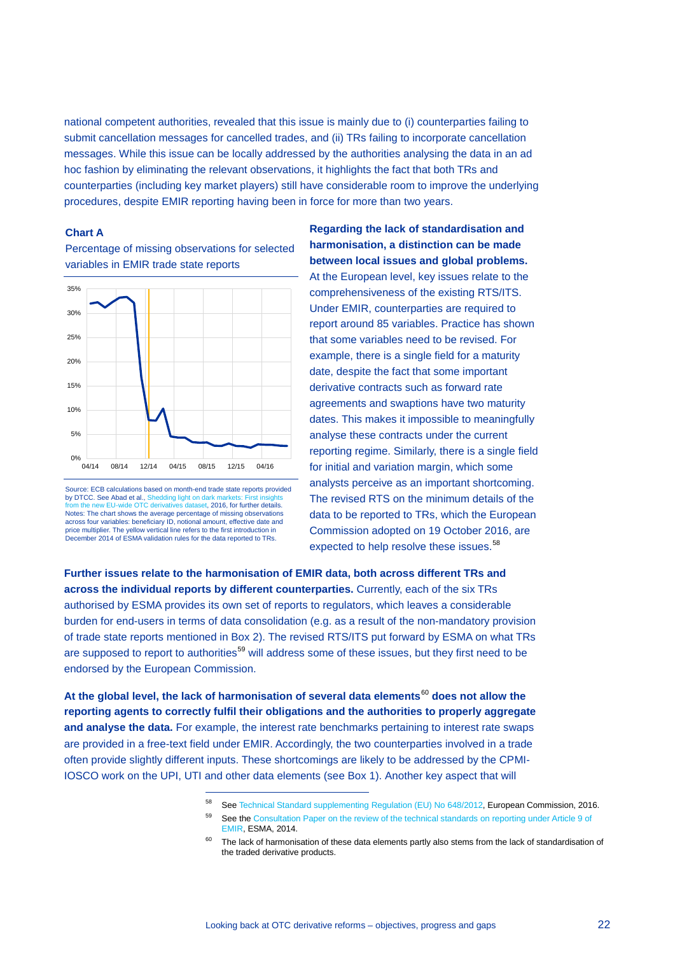national competent authorities, revealed that this issue is mainly due to (i) counterparties failing to submit cancellation messages for cancelled trades, and (ii) TRs failing to incorporate cancellation messages. While this issue can be locally addressed by the authorities analysing the data in an ad hoc fashion by eliminating the relevant observations, it highlights the fact that both TRs and counterparties (including key market players) still have considerable room to improve the underlying procedures, despite EMIR reporting having been in force for more than two years.

### **Chart A**

Percentage of missing observations for selected variables in EMIR trade state reports



Source: ECB calculations based on month-end trade state reports provided by DTCC. See Abad et al.[, Shedding light on dark markets: First insights](https://www.esrb.europa.eu/pub/pdf/occasional/20160922_occasional_paper_11.en.pdf?c067e1f68ae0fe23925b88c613c546a8)  [from the new EU-wide OTC derivatives dataset,](https://www.esrb.europa.eu/pub/pdf/occasional/20160922_occasional_paper_11.en.pdf?c067e1f68ae0fe23925b88c613c546a8) 2016, for further details. Notes: The chart shows the average percentage of missing observations across four variables: beneficiary ID, notional amount, effective date and price multiplier. The yellow vertical line refers to the first introduction in December 2014 of ESMA validation rules for the data reported to TRs.

-

**Regarding the lack of standardisation and harmonisation, a distinction can be made between local issues and global problems.** At the European level, key issues relate to the comprehensiveness of the existing RTS/ITS. Under EMIR, counterparties are required to report around 85 variables. Practice has shown that some variables need to be revised. For example, there is a single field for a maturity date, despite the fact that some important derivative contracts such as forward rate agreements and swaptions have two maturity dates. This makes it impossible to meaningfully analyse these contracts under the current reporting regime. Similarly, there is a single field for initial and variation margin, which some analysts perceive as an important shortcoming. The revised RTS on the minimum details of the data to be reported to TRs, which the European Commission adopted on 19 October 2016, are expected to help resolve these issues.<sup>[58](#page-21-0)</sup>

**Further issues relate to the harmonisation of EMIR data, both across different TRs and across the individual reports by different counterparties.** Currently, each of the six TRs authorised by ESMA provides its own set of reports to regulators, which leaves a considerable burden for end-users in terms of data consolidation (e.g. as a result of the non-mandatory provision of trade state reports mentioned in Box 2). The revised RTS/ITS put forward by ESMA on what TRs are supposed to report to authorities<sup>[59](#page-21-1)</sup> will address some of these issues, but they first need to be endorsed by the European Commission.

<span id="page-21-2"></span><span id="page-21-1"></span><span id="page-21-0"></span>**At the global level, the lack of harmonisation of several data elements**[60](#page-21-2) **does not allow the reporting agents to correctly fulfil their obligations and the authorities to properly aggregate and analyse the data.** For example, the interest rate benchmarks pertaining to interest rate swaps are provided in a free-text field under EMIR. Accordingly, the two counterparties involved in a trade often provide slightly different inputs. These shortcomings are likely to be addressed by the CPMI-IOSCO work on the UPI, UTI and other data elements (see Box 1). Another key aspect that will

<sup>58</sup> Se[e Technical Standard supplementing Regulation \(EU\) No 648/2012,](http://ec.europa.eu/transparency/regdoc/rep/3/2016/EN/3-2016-6624-EN-F1-1.PDF) European Commission, 2016.

<sup>59</sup> See the Consultation Paper on the review of the technical standards on reporting under Article 9 of [EMIR,](https://www.esma.europa.eu/sites/default/files/library/2015/11/esma-2014-1352_consultation_paper_on_the_review_of_emir_reporting_standards_under_article_9_0.pdf) ESMA, 2014.

 $60$  The lack of harmonisation of these data elements partly also stems from the lack of standardisation of the traded derivative products.